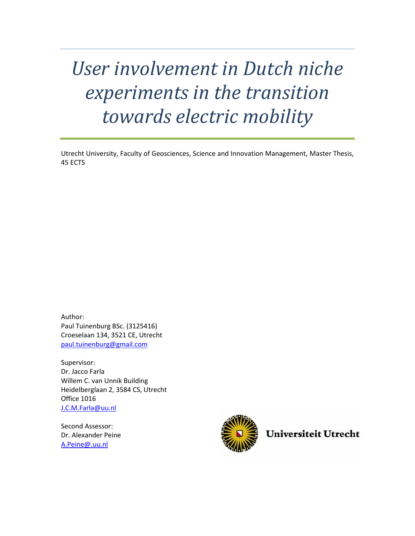# *User involvement in Dutch niche experiments in the transition towards electric mobility*

Utrecht University, Faculty of Geosciences, Science and Innovation Management, Master Thesis, 45 ECTS

Author: Paul Tuinenburg BSc. (3125416) Croeselaan 134, 3521 CE, Utrecht [paul.tuinenburg@gmail.com](mailto:paul.tuinenburg@gmail.com)

Supervisor: Dr. Jacco Farla Willem C. van Unnik Building Heidelberglaan 2, 3584 CS, Utrecht Office 1016 [J.C.M.Farla@uu.nl](mailto:J.C.M.Farla@uu.nl)

Second Assessor: Dr. Alexander Peine [A.Peine@.uu.nl](mailto:A.Peine@.uu.nl)



**Universiteit Utrecht**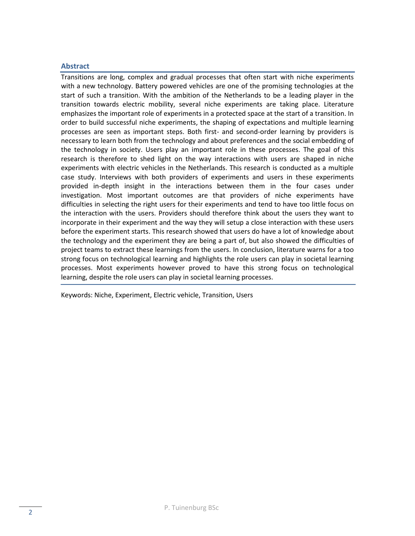# <span id="page-1-0"></span>**Abstract**

Transitions are long, complex and gradual processes that often start with niche experiments with a new technology. Battery powered vehicles are one of the promising technologies at the start of such a transition. With the ambition of the Netherlands to be a leading player in the transition towards electric mobility, several niche experiments are taking place. Literature emphasizes the important role of experiments in a protected space at the start of a transition. In order to build successful niche experiments, the shaping of expectations and multiple learning processes are seen as important steps. Both first- and second-order learning by providers is necessary to learn both from the technology and about preferences and the social embedding of the technology in society. Users play an important role in these processes. The goal of this research is therefore to shed light on the way interactions with users are shaped in niche experiments with electric vehicles in the Netherlands. This research is conducted as a multiple case study. Interviews with both providers of experiments and users in these experiments provided in-depth insight in the interactions between them in the four cases under investigation. Most important outcomes are that providers of niche experiments have difficulties in selecting the right users for their experiments and tend to have too little focus on the interaction with the users. Providers should therefore think about the users they want to incorporate in their experiment and the way they will setup a close interaction with these users before the experiment starts. This research showed that users do have a lot of knowledge about the technology and the experiment they are being a part of, but also showed the difficulties of project teams to extract these learnings from the users. In conclusion, literature warns for a too strong focus on technological learning and highlights the role users can play in societal learning processes. Most experiments however proved to have this strong focus on technological learning, despite the role users can play in societal learning processes.

Keywords: Niche, Experiment, Electric vehicle, Transition, Users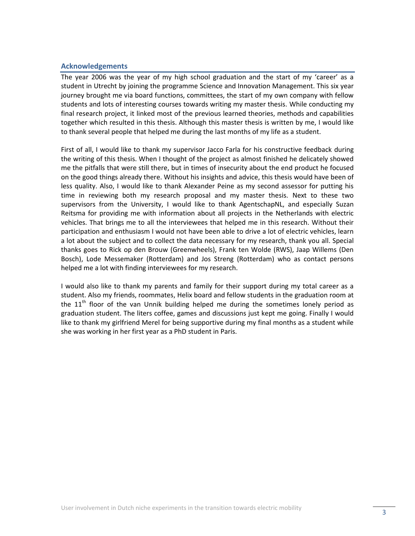#### <span id="page-2-0"></span>**Acknowledgements**

The year 2006 was the year of my high school graduation and the start of my 'career' as a student in Utrecht by joining the programme Science and Innovation Management. This six year journey brought me via board functions, committees, the start of my own company with fellow students and lots of interesting courses towards writing my master thesis. While conducting my final research project, it linked most of the previous learned theories, methods and capabilities together which resulted in this thesis. Although this master thesis is written by me, I would like to thank several people that helped me during the last months of my life as a student.

First of all, I would like to thank my supervisor Jacco Farla for his constructive feedback during the writing of this thesis. When I thought of the project as almost finished he delicately showed me the pitfalls that were still there, but in times of insecurity about the end product he focused on the good things already there. Without his insights and advice, this thesis would have been of less quality. Also, I would like to thank Alexander Peine as my second assessor for putting his time in reviewing both my research proposal and my master thesis. Next to these two supervisors from the University, I would like to thank AgentschapNL, and especially Suzan Reitsma for providing me with information about all projects in the Netherlands with electric vehicles. That brings me to all the interviewees that helped me in this research. Without their participation and enthusiasm I would not have been able to drive a lot of electric vehicles, learn a lot about the subject and to collect the data necessary for my research, thank you all. Special thanks goes to Rick op den Brouw (Greenwheels), Frank ten Wolde (RWS), Jaap Willems (Den Bosch), Lode Messemaker (Rotterdam) and Jos Streng (Rotterdam) who as contact persons helped me a lot with finding interviewees for my research.

I would also like to thank my parents and family for their support during my total career as a student. Also my friends, roommates, Helix board and fellow students in the graduation room at the  $11<sup>th</sup>$  floor of the van Unnik building helped me during the sometimes lonely period as graduation student. The liters coffee, games and discussions just kept me going. Finally I would like to thank my girlfriend Merel for being supportive during my final months as a student while she was working in her first year as a PhD student in Paris.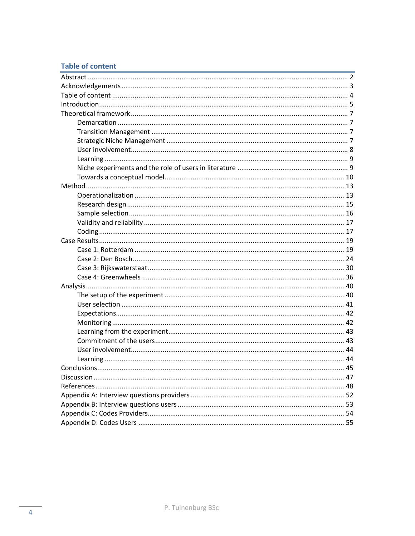# <span id="page-3-0"></span>**Table of content**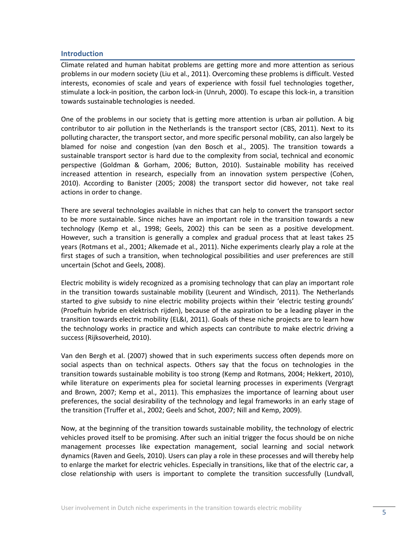# <span id="page-4-0"></span>**Introduction**

Climate related and human habitat problems are getting more and more attention as serious problems in our modern society (Liu et al., 2011). Overcoming these problems is difficult. Vested interests, economies of scale and years of experience with fossil fuel technologies together, stimulate a lock-in position, the carbon lock-in (Unruh, 2000). To escape this lock-in, a transition towards sustainable technologies is needed.

One of the problems in our society that is getting more attention is urban air pollution. A big contributor to air pollution in the Netherlands is the transport sector (CBS, 2011). Next to its polluting character, the transport sector, and more specific personal mobility, can also largely be blamed for noise and congestion (van den Bosch et al., 2005). The transition towards a sustainable transport sector is hard due to the complexity from social, technical and economic perspective (Goldman & Gorham, 2006; Button, 2010). Sustainable mobility has received increased attention in research, especially from an innovation system perspective (Cohen, 2010). According to Banister (2005; 2008) the transport sector did however, not take real actions in order to change.

There are several technologies available in niches that can help to convert the transport sector to be more sustainable. Since niches have an important role in the transition towards a new technology (Kemp et al., 1998; Geels, 2002) this can be seen as a positive development. However, such a transition is generally a complex and gradual process that at least takes 25 years (Rotmans et al., 2001; Alkemade et al., 2011). Niche experiments clearly play a role at the first stages of such a transition, when technological possibilities and user preferences are still uncertain (Schot and Geels, 2008).

Electric mobility is widely recognized as a promising technology that can play an important role in the transition towards sustainable mobility (Leurent and Windisch, 2011). The Netherlands started to give subsidy to nine electric mobility projects within their 'electric testing grounds' (Proeftuin hybride en elektrisch rijden), because of the aspiration to be a leading player in the transition towards electric mobility (EL&I, 2011). Goals of these niche projects are to learn how the technology works in practice and which aspects can contribute to make electric driving a success (Rijksoverheid, 2010).

Van den Bergh et al. (2007) showed that in such experiments success often depends more on social aspects than on technical aspects. Others say that the focus on technologies in the transition towards sustainable mobility is too strong (Kemp and Rotmans, 2004; Hekkert, 2010), while literature on experiments plea for societal learning processes in experiments (Vergragt and Brown, 2007; Kemp et al., 2011). This emphasizes the importance of learning about user preferences, the social desirability of the technology and legal frameworks in an early stage of the transition (Truffer et al., 2002; Geels and Schot, 2007; Nill and Kemp, 2009).

Now, at the beginning of the transition towards sustainable mobility, the technology of electric vehicles proved itself to be promising. After such an initial trigger the focus should be on niche management processes like expectation management, social learning and social network dynamics (Raven and Geels, 2010). Users can play a role in these processes and will thereby help to enlarge the market for electric vehicles. Especially in transitions, like that of the electric car, a close relationship with users is important to complete the transition successfully (Lundvall,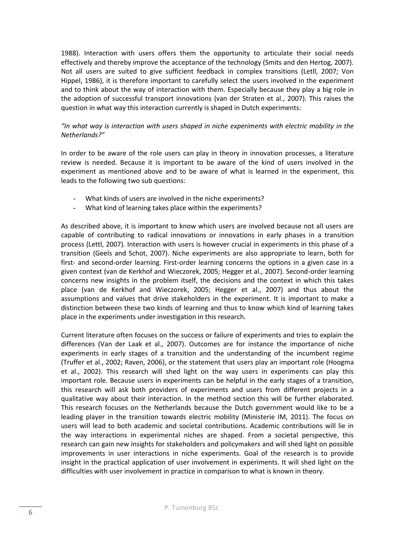1988). Interaction with users offers them the opportunity to articulate their social needs effectively and thereby improve the acceptance of the technology (Smits and den Hertog, 2007). Not all users are suited to give sufficient feedback in complex transitions (Letll, 2007; Von Hippel, 1986), it is therefore important to carefully select the users involved in the experiment and to think about the way of interaction with them. Especially because they play a big role in the adoption of successful transport innovations (van der Straten et al., 2007). This raises the question in what way this interaction currently is shaped in Dutch experiments:

# *"In what way is interaction with users shaped in niche experiments with electric mobility in the Netherlands?"*

In order to be aware of the role users can play in theory in innovation processes, a literature review is needed. Because it is important to be aware of the kind of users involved in the experiment as mentioned above and to be aware of what is learned in the experiment, this leads to the following two sub questions:

- What kinds of users are involved in the niche experiments?
- What kind of learning takes place within the experiments?

As described above, it is important to know which users are involved because not all users are capable of contributing to radical innovations or innovations in early phases in a transition process (Lettl, 2007). Interaction with users is however crucial in experiments in this phase of a transition (Geels and Schot, 2007). Niche experiments are also appropriate to learn, both for first- and second-order learning. First-order learning concerns the options in a given case in a given context (van de Kerkhof and Wieczorek, 2005; Hegger et al., 2007). Second-order learning concerns new insights in the problem itself, the decisions and the context in which this takes place (van de Kerkhof and Wieczorek, 2005; Hegger et al., 2007) and thus about the assumptions and values that drive stakeholders in the experiment. It is important to make a distinction between these two kinds of learning and thus to know which kind of learning takes place in the experiments under investigation in this research.

Current literature often focuses on the success or failure of experiments and tries to explain the differences (Van der Laak et al., 2007). Outcomes are for instance the importance of niche experiments in early stages of a transition and the understanding of the incumbent regime (Truffer et al., 2002; Raven, 2006), or the statement that users play an important role (Hoogma et al., 2002). This research will shed light on the way users in experiments can play this important role. Because users in experiments can be helpful in the early stages of a transition, this research will ask both providers of experiments and users from different projects in a qualitative way about their interaction. In the method section this will be further elaborated. This research focuses on the Netherlands because the Dutch government would like to be a leading player in the transition towards electric mobility (Ministerie IM, 2011). The focus on users will lead to both academic and societal contributions. Academic contributions will lie in the way interactions in experimental niches are shaped. From a societal perspective, this research can gain new insights for stakeholders and policymakers and will shed light on possible improvements in user interactions in niche experiments. Goal of the research is to provide insight in the practical application of user involvement in experiments. It will shed light on the difficulties with user involvement in practice in comparison to what is known in theory.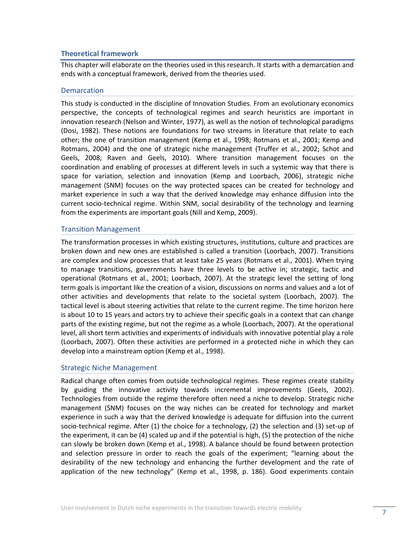# <span id="page-6-0"></span>**Theoretical framework**

This chapter will elaborate on the theories used in this research. It starts with a demarcation and ends with a conceptual framework, derived from the theories used.

#### <span id="page-6-1"></span>**Demarcation**

This study is conducted in the discipline of Innovation Studies. From an evolutionary economics perspective, the concepts of technological regimes and search heuristics are important in innovation research (Nelson and Winter, 1977), as well as the notion of technological paradigms (Dosi, 1982). These notions are foundations for two streams in literature that relate to each other; the one of transition management (Kemp et al., 1998; Rotmans et al., 2001; Kemp and Rotmans, 2004) and the one of strategic niche management (Truffer et al., 2002; Schot and Geels, 2008; Raven and Geels, 2010). Where transition management focuses on the coordination and enabling of processes at different levels in such a systemic way that there is space for variation, selection and innovation (Kemp and Loorbach, 2006), strategic niche management (SNM) focuses on the way protected spaces can be created for technology and market experience in such a way that the derived knowledge may enhance diffusion into the current socio-technical regime. Within SNM, social desirability of the technology and learning from the experiments are important goals (Nill and Kemp, 2009).

# <span id="page-6-2"></span>Transition Management

The transformation processes in which existing structures, institutions, culture and practices are broken down and new ones are established is called a transition (Loorbach, 2007). Transitions are complex and slow processes that at least take 25 years (Rotmans et al., 2001). When trying to manage transitions, governments have three levels to be active in; strategic, tactic and operational (Rotmans et al., 2001; Loorbach, 2007). At the strategic level the setting of long term goals is important like the creation of a vision, discussions on norms and values and a lot of other activities and developments that relate to the societal system (Loorbach, 2007). The tactical level is about steering activities that relate to the current regime. The time horizon here is about 10 to 15 years and actors try to achieve their specific goals in a context that can change parts of the existing regime, but not the regime as a whole (Loorbach, 2007). At the operational level, all short term activities and experiments of individuals with innovative potential play a role (Loorbach, 2007). Often these activities are performed in a protected niche in which they can develop into a mainstream option (Kemp et al., 1998).

#### <span id="page-6-3"></span>Strategic Niche Management

Radical change often comes from outside technological regimes. These regimes create stability by guiding the innovative activity towards incremental improvements (Geels, 2002). Technologies from outside the regime therefore often need a niche to develop. Strategic niche management (SNM) focuses on the way niches can be created for technology and market experience in such a way that the derived knowledge is adequate for diffusion into the current socio-technical regime. After (1) the choice for a technology, (2) the selection and (3) set-up of the experiment, it can be (4) scaled up and if the potential is high, (5) the protection of the niche can slowly be broken down (Kemp et al., 1998). A balance should be found between protection and selection pressure in order to reach the goals of the experiment; "learning about the desirability of the new technology and enhancing the further development and the rate of application of the new technology" (Kemp et al., 1998, p. 186). Good experiments contain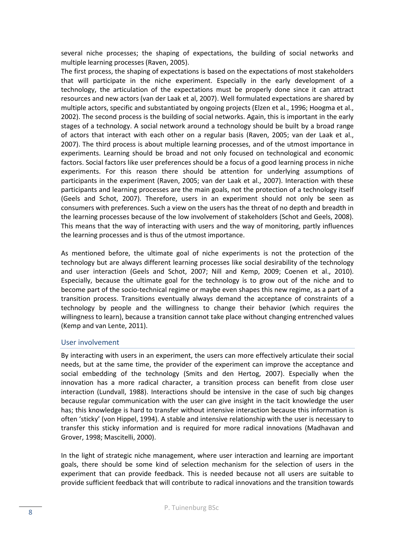several niche processes; the shaping of expectations, the building of social networks and multiple learning processes (Raven, 2005).

The first process, the shaping of expectations is based on the expectations of most stakeholders that will participate in the niche experiment. Especially in the early development of a technology, the articulation of the expectations must be properly done since it can attract resources and new actors (van der Laak et al, 2007). Well formulated expectations are shared by multiple actors, specific and substantiated by ongoing projects (Elzen et al., 1996; Hoogma et al., 2002). The second process is the building of social networks. Again, this is important in the early stages of a technology. A social network around a technology should be built by a broad range of actors that interact with each other on a regular basis (Raven, 2005; van der Laak et al., 2007). The third process is about multiple learning processes, and of the utmost importance in experiments. Learning should be broad and not only focused on technological and economic factors. Social factors like user preferences should be a focus of a good learning process in niche experiments. For this reason there should be attention for underlying assumptions of participants in the experiment (Raven, 2005; van der Laak et al., 2007). Interaction with these participants and learning processes are the main goals, not the protection of a technology itself (Geels and Schot, 2007). Therefore, users in an experiment should not only be seen as consumers with preferences. Such a view on the users has the threat of no depth and breadth in the learning processes because of the low involvement of stakeholders (Schot and Geels, 2008). This means that the way of interacting with users and the way of monitoring, partly influences the learning processes and is thus of the utmost importance.

As mentioned before, the ultimate goal of niche experiments is not the protection of the technology but are always different learning processes like social desirability of the technology and user interaction (Geels and Schot, 2007; Nill and Kemp, 2009; Coenen et al., 2010). Especially, because the ultimate goal for the technology is to grow out of the niche and to become part of the socio-technical regime or maybe even shapes this new regime, as a part of a transition process. Transitions eventually always demand the acceptance of constraints of a technology by people and the willingness to change their behavior (which requires the willingness to learn), because a transition cannot take place without changing entrenched values (Kemp and van Lente, 2011).

# <span id="page-7-0"></span>User involvement

By interacting with users in an experiment, the users can more effectively articulate their social needs, but at the same time, the provider of the experiment can improve the acceptance and social embedding of the technology (Smits and den Hertog, 2007). Especially when the innovation has a more radical character, a transition process can benefit from close user interaction (Lundvall, 1988). Interactions should be intensive in the case of such big changes because regular communication with the user can give insight in the tacit knowledge the user has; this knowledge is hard to transfer without intensive interaction because this information is often 'sticky' (von Hippel, 1994). A stable and intensive relationship with the user is necessary to transfer this sticky information and is required for more radical innovations (Madhavan and Grover, 1998; Mascitelli, 2000).

In the light of strategic niche management, where user interaction and learning are important goals, there should be some kind of selection mechanism for the selection of users in the experiment that can provide feedback. This is needed because not all users are suitable to provide sufficient feedback that will contribute to radical innovations and the transition towards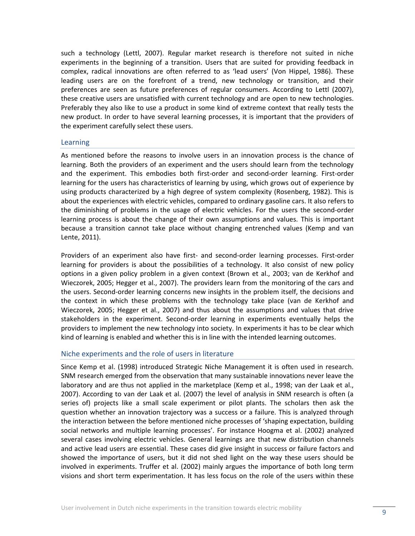such a technology (Lettl, 2007). Regular market research is therefore not suited in niche experiments in the beginning of a transition. Users that are suited for providing feedback in complex, radical innovations are often referred to as 'lead users' (Von Hippel, 1986). These leading users are on the forefront of a trend, new technology or transition, and their preferences are seen as future preferences of regular consumers. According to Lettl (2007), these creative users are unsatisfied with current technology and are open to new technologies. Preferably they also like to use a product in some kind of extreme context that really tests the new product. In order to have several learning processes, it is important that the providers of the experiment carefully select these users.

#### <span id="page-8-0"></span>Learning

As mentioned before the reasons to involve users in an innovation process is the chance of learning. Both the providers of an experiment and the users should learn from the technology and the experiment. This embodies both first-order and second-order learning. First-order learning for the users has characteristics of learning by using, which grows out of experience by using products characterized by a high degree of system complexity (Rosenberg, 1982). This is about the experiences with electric vehicles, compared to ordinary gasoline cars. It also refers to the diminishing of problems in the usage of electric vehicles. For the users the second-order learning process is about the change of their own assumptions and values. This is important because a transition cannot take place without changing entrenched values (Kemp and van Lente, 2011).

Providers of an experiment also have first- and second-order learning processes. First-order learning for providers is about the possibilities of a technology. It also consist of new policy options in a given policy problem in a given context (Brown et al., 2003; van de Kerkhof and Wieczorek, 2005; Hegger et al., 2007). The providers learn from the monitoring of the cars and the users. Second-order learning concerns new insights in the problem itself, the decisions and the context in which these problems with the technology take place (van de Kerkhof and Wieczorek, 2005; Hegger et al., 2007) and thus about the assumptions and values that drive stakeholders in the experiment. Second-order learning in experiments eventually helps the providers to implement the new technology into society. In experiments it has to be clear which kind of learning is enabled and whether this is in line with the intended learning outcomes.

#### <span id="page-8-1"></span>Niche experiments and the role of users in literature

Since Kemp et al. (1998) introduced Strategic Niche Management it is often used in research. SNM research emerged from the observation that many sustainable innovations never leave the laboratory and are thus not applied in the marketplace (Kemp et al., 1998; van der Laak et al., 2007). According to van der Laak et al. (2007) the level of analysis in SNM research is often (a series of) projects like a small scale experiment or pilot plants. The scholars then ask the question whether an innovation trajectory was a success or a failure. This is analyzed through the interaction between the before mentioned niche processes of 'shaping expectation, building social networks and multiple learning processes'. For instance Hoogma et al. (2002) analyzed several cases involving electric vehicles. General learnings are that new distribution channels and active lead users are essential. These cases did give insight in success or failure factors and showed the importance of users, but it did not shed light on the way these users should be involved in experiments. Truffer et al. (2002) mainly argues the importance of both long term visions and short term experimentation. It has less focus on the role of the users within these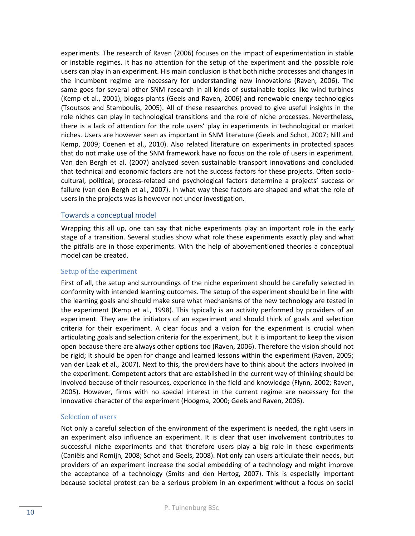experiments. The research of Raven (2006) focuses on the impact of experimentation in stable or instable regimes. It has no attention for the setup of the experiment and the possible role users can play in an experiment. His main conclusion is that both niche processes and changes in the incumbent regime are necessary for understanding new innovations (Raven, 2006). The same goes for several other SNM research in all kinds of sustainable topics like wind turbines (Kemp et al., 2001), biogas plants (Geels and Raven, 2006) and renewable energy technologies (Tsoutsos and Stamboulis, 2005). All of these researches proved to give useful insights in the role niches can play in technological transitions and the role of niche processes. Nevertheless, there is a lack of attention for the role users' play in experiments in technological or market niches. Users are however seen as important in SNM literature (Geels and Schot, 2007; Nill and Kemp, 2009; Coenen et al., 2010). Also related literature on experiments in protected spaces that do not make use of the SNM framework have no focus on the role of users in experiment. Van den Bergh et al. (2007) analyzed seven sustainable transport innovations and concluded that technical and economic factors are not the success factors for these projects. Often sociocultural, political, process-related and psychological factors determine a projects' success or failure (van den Bergh et al., 2007). In what way these factors are shaped and what the role of users in the projects was is however not under investigation.

#### <span id="page-9-0"></span>Towards a conceptual model

Wrapping this all up, one can say that niche experiments play an important role in the early stage of a transition. Several studies show what role these experiments exactly play and what the pitfalls are in those experiments. With the help of abovementioned theories a conceptual model can be created.

#### Setup of the experiment

First of all, the setup and surroundings of the niche experiment should be carefully selected in conformity with intended learning outcomes. The setup of the experiment should be in line with the learning goals and should make sure what mechanisms of the new technology are tested in the experiment (Kemp et al., 1998). This typically is an activity performed by providers of an experiment. They are the initiators of an experiment and should think of goals and selection criteria for their experiment. A clear focus and a vision for the experiment is crucial when articulating goals and selection criteria for the experiment, but it is important to keep the vision open because there are always other options too (Raven, 2006). Therefore the vision should not be rigid; it should be open for change and learned lessons within the experiment (Raven, 2005; van der Laak et al., 2007). Next to this, the providers have to think about the actors involved in the experiment. Competent actors that are established in the current way of thinking should be involved because of their resources, experience in the field and knowledge (Flynn, 2002; Raven, 2005). However, firms with no special interest in the current regime are necessary for the innovative character of the experiment (Hoogma, 2000; Geels and Raven, 2006).

#### Selection of users

Not only a careful selection of the environment of the experiment is needed, the right users in an experiment also influence an experiment. It is clear that user involvement contributes to successful niche experiments and that therefore users play a big role in these experiments (Caniëls and Romijn, 2008; Schot and Geels, 2008). Not only can users articulate their needs, but providers of an experiment increase the social embedding of a technology and might improve the acceptance of a technology (Smits and den Hertog, 2007). This is especially important because societal protest can be a serious problem in an experiment without a focus on social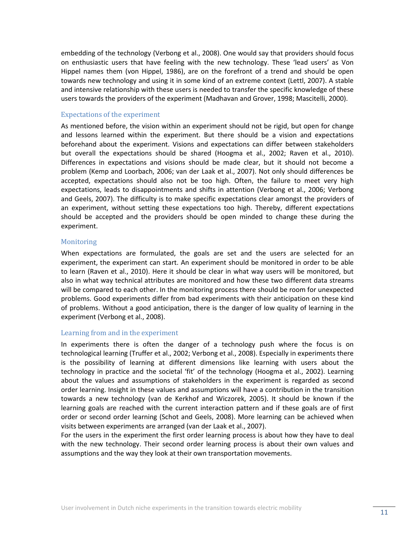embedding of the technology (Verbong et al., 2008). One would say that providers should focus on enthusiastic users that have feeling with the new technology. These 'lead users' as Von Hippel names them (von Hippel, 1986), are on the forefront of a trend and should be open towards new technology and using it in some kind of an extreme context (Lettl, 2007). A stable and intensive relationship with these users is needed to transfer the specific knowledge of these users towards the providers of the experiment (Madhavan and Grover, 1998; Mascitelli, 2000).

#### Expectations of the experiment

As mentioned before, the vision within an experiment should not be rigid, but open for change and lessons learned within the experiment. But there should be a vision and expectations beforehand about the experiment. Visions and expectations can differ between stakeholders but overall the expectations should be shared (Hoogma et al., 2002; Raven et al., 2010). Differences in expectations and visions should be made clear, but it should not become a problem (Kemp and Loorbach, 2006; van der Laak et al., 2007). Not only should differences be accepted, expectations should also not be too high. Often, the failure to meet very high expectations, leads to disappointments and shifts in attention (Verbong et al., 2006; Verbong and Geels, 2007). The difficulty is to make specific expectations clear amongst the providers of an experiment, without setting these expectations too high. Thereby, different expectations should be accepted and the providers should be open minded to change these during the experiment.

# **Monitoring**

When expectations are formulated, the goals are set and the users are selected for an experiment, the experiment can start. An experiment should be monitored in order to be able to learn (Raven et al., 2010). Here it should be clear in what way users will be monitored, but also in what way technical attributes are monitored and how these two different data streams will be compared to each other. In the monitoring process there should be room for unexpected problems. Good experiments differ from bad experiments with their anticipation on these kind of problems. Without a good anticipation, there is the danger of low quality of learning in the experiment (Verbong et al., 2008).

#### Learning from and in the experiment

In experiments there is often the danger of a technology push where the focus is on technological learning (Truffer et al., 2002; Verbong et al., 2008). Especially in experiments there is the possibility of learning at different dimensions like learning with users about the technology in practice and the societal 'fit' of the technology (Hoogma et al., 2002). Learning about the values and assumptions of stakeholders in the experiment is regarded as second order learning. Insight in these values and assumptions will have a contribution in the transition towards a new technology (van de Kerkhof and Wiczorek, 2005). It should be known if the learning goals are reached with the current interaction pattern and if these goals are of first order or second order learning (Schot and Geels, 2008). More learning can be achieved when visits between experiments are arranged (van der Laak et al., 2007).

For the users in the experiment the first order learning process is about how they have to deal with the new technology. Their second order learning process is about their own values and assumptions and the way they look at their own transportation movements.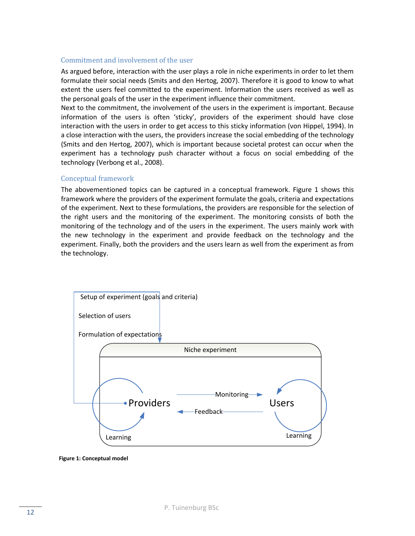# Commitment and involvement of the user

As argued before, interaction with the user plays a role in niche experiments in order to let them formulate their social needs (Smits and den Hertog, 2007). Therefore it is good to know to what extent the users feel committed to the experiment. Information the users received as well as the personal goals of the user in the experiment influence their commitment.

Next to the commitment, the involvement of the users in the experiment is important. Because information of the users is often 'sticky', providers of the experiment should have close interaction with the users in order to get access to this sticky information (von Hippel, 1994). In a close interaction with the users, the providers increase the social embedding of the technology (Smits and den Hertog, 2007), which is important because societal protest can occur when the experiment has a technology push character without a focus on social embedding of the technology (Verbong et al., 2008).

# Conceptual framework

The abovementioned topics can be captured in a conceptual framework. Figure 1 shows this framework where the providers of the experiment formulate the goals, criteria and expectations of the experiment. Next to these formulations, the providers are responsible for the selection of the right users and the monitoring of the experiment. The monitoring consists of both the monitoring of the technology and of the users in the experiment. The users mainly work with the new technology in the experiment and provide feedback on the technology and the experiment. Finally, both the providers and the users learn as well from the experiment as from the technology.



**Figure 1: Conceptual model**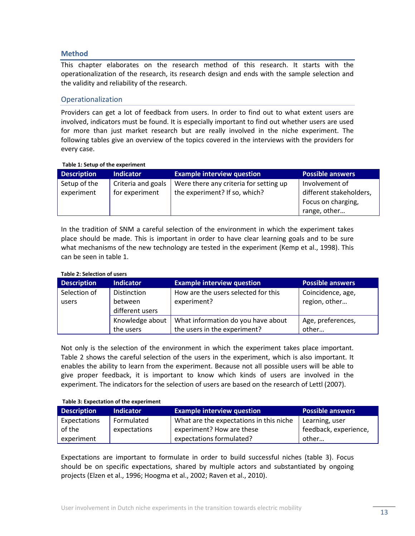# <span id="page-12-0"></span>**Method**

This chapter elaborates on the research method of this research. It starts with the operationalization of the research, its research design and ends with the sample selection and the validity and reliability of the research.

# <span id="page-12-1"></span>Operationalization

Providers can get a lot of feedback from users. In order to find out to what extent users are involved, indicators must be found. It is especially important to find out whether users are used for more than just market research but are really involved in the niche experiment. The following tables give an overview of the topics covered in the interviews with the providers for every case.

#### **Table 1: Setup of the experiment**

| <b>Description</b> | <b>Indicator</b>   | <b>Example interview question</b>      | <b>Possible answers</b> |
|--------------------|--------------------|----------------------------------------|-------------------------|
| Setup of the       | Criteria and goals | Were there any criteria for setting up | Involvement of          |
| experiment         | for experiment     | the experiment? If so, which?          | different stakeholders, |
|                    |                    |                                        | Focus on charging,      |
|                    |                    |                                        | 'range, other           |

In the tradition of SNM a careful selection of the environment in which the experiment takes place should be made. This is important in order to have clear learning goals and to be sure what mechanisms of the new technology are tested in the experiment (Kemp et al., 1998). This can be seen in table 1.

#### **Table 2: Selection of users**

| <b>Description</b> | <b>Indicator</b> | <b>Example interview question</b>   | <b>Possible answers</b> |  |
|--------------------|------------------|-------------------------------------|-------------------------|--|
| Selection of       | Distinction      | How are the users selected for this | Coincidence, age,       |  |
| users              | between          | experiment?                         | region, other           |  |
| different users    |                  |                                     |                         |  |
|                    | Knowledge about  | What information do you have about  | Age, preferences,       |  |
|                    | the users        | the users in the experiment?        | other                   |  |

Not only is the selection of the environment in which the experiment takes place important. Table 2 shows the careful selection of the users in the experiment, which is also important. It enables the ability to learn from the experiment. Because not all possible users will be able to give proper feedback, it is important to know which kinds of users are involved in the experiment. The indicators for the selection of users are based on the research of Lettl (2007).

#### **Table 3: Expectation of the experiment**

| <b>Description</b> | <b>Indicator</b> | <b>Example interview question</b>       | <b>Possible answers</b> |  |
|--------------------|------------------|-----------------------------------------|-------------------------|--|
| Expectations       | Formulated       | What are the expectations in this niche | Learning, user          |  |
| of the             | expectations     | experiment? How are these               | feedback, experience,   |  |
| experiment         |                  | expectations formulated?                | other                   |  |

Expectations are important to formulate in order to build successful niches (table 3). Focus should be on specific expectations, shared by multiple actors and substantiated by ongoing projects (Elzen et al., 1996; Hoogma et al., 2002; Raven et al., 2010).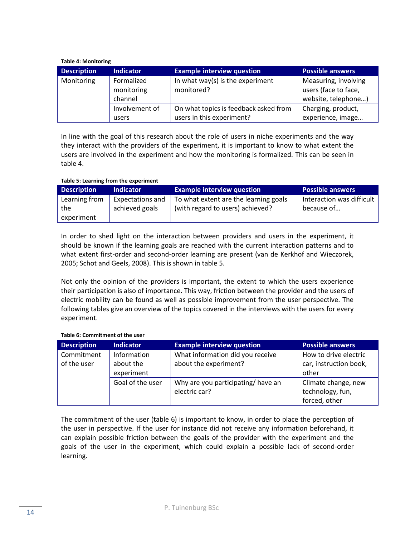#### **Table 4: Monitoring**

| <b>Description</b> | <b>Indicator</b>                    | <b>Example interview question</b>                                  | <b>Possible answers</b>                                             |
|--------------------|-------------------------------------|--------------------------------------------------------------------|---------------------------------------------------------------------|
| Monitoring         | Formalized<br>monitoring<br>channel | In what way(s) is the experiment<br>monitored?                     | Measuring, involving<br>users (face to face,<br>website, telephone) |
|                    | Involvement of<br>users             | On what topics is feedback asked from<br>users in this experiment? | Charging, product,<br>experience, image                             |

In line with the goal of this research about the role of users in niche experiments and the way they interact with the providers of the experiment, it is important to know to what extent the users are involved in the experiment and how the monitoring is formalized. This can be seen in table 4.

# **Table 5: Learning from the experiment**

| <b>Description</b>                 | <b>Indicator</b>                          | <b>Example interview question</b>                                         | <b>Possible answers</b>                 |
|------------------------------------|-------------------------------------------|---------------------------------------------------------------------------|-----------------------------------------|
| Learning from<br>the<br>experiment | <b>Expectations and</b><br>achieved goals | To what extent are the learning goals<br>(with regard to users) achieved? | Interaction was difficult<br>because of |

In order to shed light on the interaction between providers and users in the experiment, it should be known if the learning goals are reached with the current interaction patterns and to what extent first-order and second-order learning are present (van de Kerkhof and Wieczorek, 2005; Schot and Geels, 2008). This is shown in table 5.

Not only the opinion of the providers is important, the extent to which the users experience their participation is also of importance. This way, friction between the provider and the users of electric mobility can be found as well as possible improvement from the user perspective. The following tables give an overview of the topics covered in the interviews with the users for every experiment.

#### **Table 6: Commitment of the user**

| <b>Description</b>                                     | <b>Indicator</b>                   | <b>Example interview question</b> | <b>Possible answers</b> |
|--------------------------------------------------------|------------------------------------|-----------------------------------|-------------------------|
| Commitment                                             | Information                        | What information did you receive  | How to drive electric   |
| of the user                                            | about the experiment?<br>about the |                                   | car, instruction book,  |
|                                                        | experiment                         |                                   | other                   |
| Goal of the user<br>Why are you participating/ have an |                                    | Climate change, new               |                         |
|                                                        |                                    | electric car?                     | technology, fun,        |
|                                                        |                                    |                                   | forced, other           |

The commitment of the user (table 6) is important to know, in order to place the perception of the user in perspective. If the user for instance did not receive any information beforehand, it can explain possible friction between the goals of the provider with the experiment and the goals of the user in the experiment, which could explain a possible lack of second-order learning.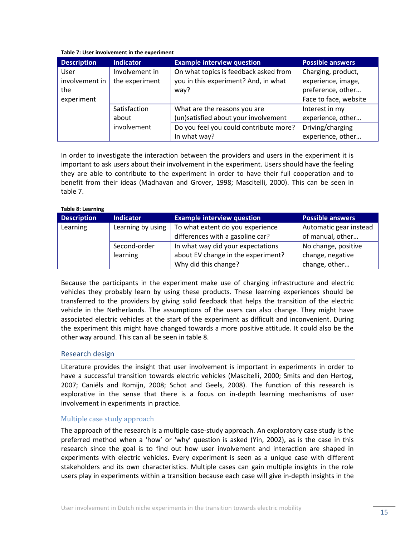#### **Table 7: User involvement in the experiment**

| <b>Description</b> | <b>Indicator</b> | <b>Example interview question</b>      | <b>Possible answers</b> |
|--------------------|------------------|----------------------------------------|-------------------------|
| User               | Involvement in   | On what topics is feedback asked from  | Charging, product,      |
| involvement in     | the experiment   | you in this experiment? And, in what   | experience, image,      |
| the                |                  | way?                                   | preference, other       |
| experiment         |                  |                                        | Face to face, website   |
|                    | Satisfaction     | What are the reasons you are           | Interest in my          |
|                    | about            | (un)satisfied about your involvement   | experience, other       |
|                    | involvement      | Do you feel you could contribute more? | Driving/charging        |
|                    |                  | In what way?                           | experience, other       |

In order to investigate the interaction between the providers and users in the experiment it is important to ask users about their involvement in the experiment. Users should have the feeling they are able to contribute to the experiment in order to have their full cooperation and to benefit from their ideas (Madhavan and Grover, 1998; Mascitelli, 2000). This can be seen in table 7.

#### **Table 8: Learning**

| <b>Description</b> | <b>Indicator</b>  | <b>Example interview question</b>  | <b>Possible answers</b> |
|--------------------|-------------------|------------------------------------|-------------------------|
| Learning           | Learning by using | To what extent do you experience   | Automatic gear instead  |
|                    |                   | differences with a gasoline car?   | of manual, other        |
|                    | Second-order      | In what way did your expectations  | No change, positive     |
|                    | learning          | about EV change in the experiment? | change, negative        |
|                    |                   | Why did this change?               | change, other           |

Because the participants in the experiment make use of charging infrastructure and electric vehicles they probably learn by using these products. These learning experiences should be transferred to the providers by giving solid feedback that helps the transition of the electric vehicle in the Netherlands. The assumptions of the users can also change. They might have associated electric vehicles at the start of the experiment as difficult and inconvenient. During the experiment this might have changed towards a more positive attitude. It could also be the other way around. This can all be seen in table 8.

# <span id="page-14-0"></span>Research design

Literature provides the insight that user involvement is important in experiments in order to have a successful transition towards electric vehicles (Mascitelli, 2000; Smits and den Hertog, 2007; Caniëls and Romijn, 2008; Schot and Geels, 2008). The function of this research is explorative in the sense that there is a focus on in-depth learning mechanisms of user involvement in experiments in practice.

# Multiple case study approach

The approach of the research is a multiple case-study approach. An exploratory case study is the preferred method when a 'how' or 'why' question is asked (Yin, 2002), as is the case in this research since the goal is to find out how user involvement and interaction are shaped in experiments with electric vehicles. Every experiment is seen as a unique case with different stakeholders and its own characteristics. Multiple cases can gain multiple insights in the role users play in experiments within a transition because each case will give in-depth insights in the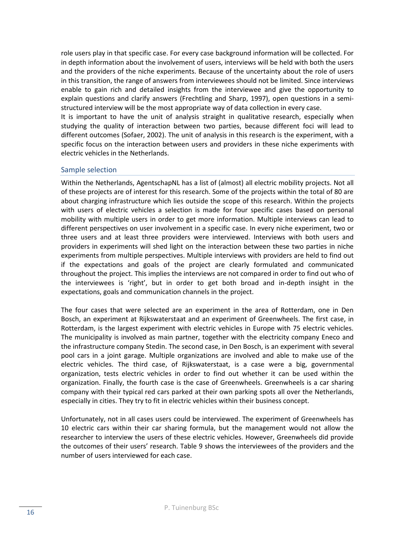role users play in that specific case. For every case background information will be collected. For in depth information about the involvement of users, interviews will be held with both the users and the providers of the niche experiments. Because of the uncertainty about the role of users in this transition, the range of answers from interviewees should not be limited. Since interviews enable to gain rich and detailed insights from the interviewee and give the opportunity to explain questions and clarify answers (Frechtling and Sharp, 1997), open questions in a semistructured interview will be the most appropriate way of data collection in every case.

It is important to have the unit of analysis straight in qualitative research, especially when studying the quality of interaction between two parties, because different foci will lead to different outcomes (Sofaer, 2002). The unit of analysis in this research is the experiment, with a specific focus on the interaction between users and providers in these niche experiments with electric vehicles in the Netherlands.

# <span id="page-15-0"></span>Sample selection

Within the Netherlands, AgentschapNL has a list of (almost) all electric mobility projects. Not all of these projects are of interest for this research. Some of the projects within the total of 80 are about charging infrastructure which lies outside the scope of this research. Within the projects with users of electric vehicles a selection is made for four specific cases based on personal mobility with multiple users in order to get more information. Multiple interviews can lead to different perspectives on user involvement in a specific case. In every niche experiment, two or three users and at least three providers were interviewed. Interviews with both users and providers in experiments will shed light on the interaction between these two parties in niche experiments from multiple perspectives. Multiple interviews with providers are held to find out if the expectations and goals of the project are clearly formulated and communicated throughout the project. This implies the interviews are not compared in order to find out who of the interviewees is 'right', but in order to get both broad and in-depth insight in the expectations, goals and communication channels in the project.

The four cases that were selected are an experiment in the area of Rotterdam, one in Den Bosch, an experiment at Rijkswaterstaat and an experiment of Greenwheels. The first case, in Rotterdam, is the largest experiment with electric vehicles in Europe with 75 electric vehicles. The municipality is involved as main partner, together with the electricity company Eneco and the infrastructure company Stedin. The second case, in Den Bosch, is an experiment with several pool cars in a joint garage. Multiple organizations are involved and able to make use of the electric vehicles. The third case, of Rijkswaterstaat, is a case were a big, governmental organization, tests electric vehicles in order to find out whether it can be used within the organization. Finally, the fourth case is the case of Greenwheels. Greenwheels is a car sharing company with their typical red cars parked at their own parking spots all over the Netherlands, especially in cities. They try to fit in electric vehicles within their business concept.

Unfortunately, not in all cases users could be interviewed. The experiment of Greenwheels has 10 electric cars within their car sharing formula, but the management would not allow the researcher to interview the users of these electric vehicles. However, Greenwheels did provide the outcomes of their users' research. Table 9 shows the interviewees of the providers and the number of users interviewed for each case.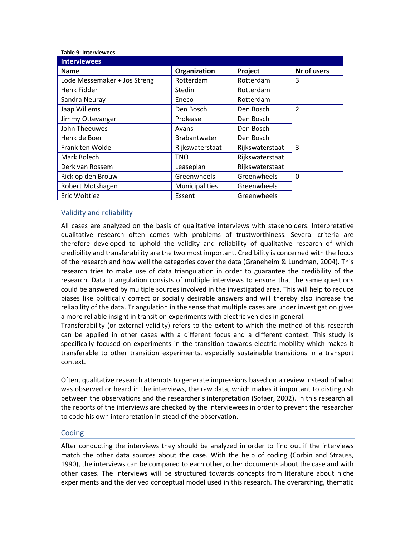**Table 9: Interviewees** 

| <b>Interviewees</b>          |                     |                 |                |
|------------------------------|---------------------|-----------------|----------------|
| <b>Name</b>                  | Organization        | Project         | Nr of users    |
| Lode Messemaker + Jos Streng | Rotterdam           | Rotterdam       | 3              |
| Henk Fidder                  | Stedin              | Rotterdam       |                |
| Sandra Neuray                | Eneco               | Rotterdam       |                |
| Jaap Willems                 | Den Bosch           | Den Bosch       | $\overline{2}$ |
| Jimmy Ottevanger             | Prolease            | Den Bosch       |                |
| John Theeuwes                | Avans               | Den Bosch       |                |
| Henk de Boer                 | <b>Brabantwater</b> | Den Bosch       |                |
| Frank ten Wolde              | Rijkswaterstaat     | Rijkswaterstaat | 3              |
| Mark Bolech                  | TNO                 | Rijkswaterstaat |                |
| Derk van Rossem              | Leaseplan           | Rijkswaterstaat |                |
| Rick op den Brouw            | Greenwheels         | Greenwheels     | $\Omega$       |
| Robert Motshagen             | Municipalities      | Greenwheels     |                |
| Eric Woittiez                | Essent              | Greenwheels     |                |

# <span id="page-16-0"></span>Validity and reliability

All cases are analyzed on the basis of qualitative interviews with stakeholders. Interpretative qualitative research often comes with problems of trustworthiness. Several criteria are therefore developed to uphold the validity and reliability of qualitative research of which credibility and transferability are the two most important. Credibility is concerned with the focus of the research and how well the categories cover the data (Graneheim & Lundman, 2004). This research tries to make use of data triangulation in order to guarantee the credibility of the research. Data triangulation consists of multiple interviews to ensure that the same questions could be answered by multiple sources involved in the investigated area. This will help to reduce biases like politically correct or socially desirable answers and will thereby also increase the reliability of the data. Triangulation in the sense that multiple cases are under investigation gives a more reliable insight in transition experiments with electric vehicles in general.

Transferability (or external validity) refers to the extent to which the method of this research can be applied in other cases with a different focus and a different context. This study is specifically focused on experiments in the transition towards electric mobility which makes it transferable to other transition experiments, especially sustainable transitions in a transport context.

Often, qualitative research attempts to generate impressions based on a review instead of what was observed or heard in the interviews, the raw data, which makes it important to distinguish between the observations and the researcher's interpretation (Sofaer, 2002). In this research all the reports of the interviews are checked by the interviewees in order to prevent the researcher to code his own interpretation in stead of the observation.

#### <span id="page-16-1"></span>Coding

After conducting the interviews they should be analyzed in order to find out if the interviews match the other data sources about the case. With the help of coding (Corbin and Strauss, 1990), the interviews can be compared to each other, other documents about the case and with other cases. The interviews will be structured towards concepts from literature about niche experiments and the derived conceptual model used in this research. The overarching, thematic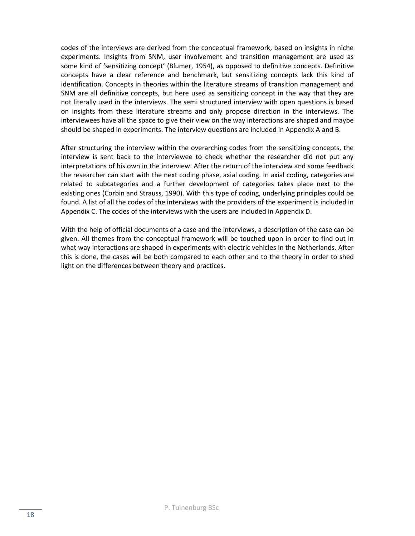codes of the interviews are derived from the conceptual framework, based on insights in niche experiments. Insights from SNM, user involvement and transition management are used as some kind of 'sensitizing concept' (Blumer, 1954), as opposed to definitive concepts. Definitive concepts have a clear reference and benchmark, but sensitizing concepts lack this kind of identification. Concepts in theories within the literature streams of transition management and SNM are all definitive concepts, but here used as sensitizing concept in the way that they are not literally used in the interviews. The semi structured interview with open questions is based on insights from these literature streams and only propose direction in the interviews. The interviewees have all the space to give their view on the way interactions are shaped and maybe should be shaped in experiments. The interview questions are included in Appendix A and B.

After structuring the interview within the overarching codes from the sensitizing concepts, the interview is sent back to the interviewee to check whether the researcher did not put any interpretations of his own in the interview. After the return of the interview and some feedback the researcher can start with the next coding phase, axial coding. In axial coding, categories are related to subcategories and a further development of categories takes place next to the existing ones (Corbin and Strauss, 1990). With this type of coding, underlying principles could be found. A list of all the codes of the interviews with the providers of the experiment is included in Appendix C. The codes of the interviews with the users are included in Appendix D.

With the help of official documents of a case and the interviews, a description of the case can be given. All themes from the conceptual framework will be touched upon in order to find out in what way interactions are shaped in experiments with electric vehicles in the Netherlands. After this is done, the cases will be both compared to each other and to the theory in order to shed light on the differences between theory and practices.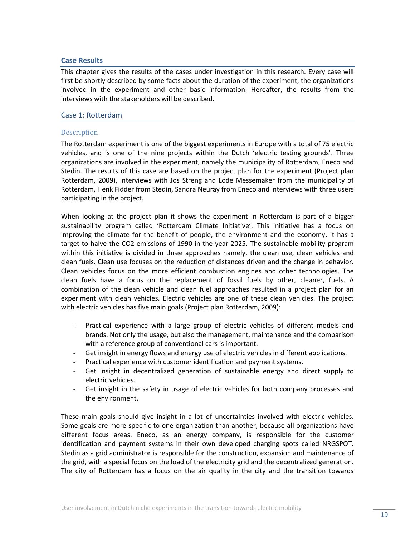# <span id="page-18-0"></span>**Case Results**

This chapter gives the results of the cases under investigation in this research. Every case will first be shortly described by some facts about the duration of the experiment, the organizations involved in the experiment and other basic information. Hereafter, the results from the interviews with the stakeholders will be described.

# <span id="page-18-1"></span>Case 1: Rotterdam

# **Description**

The Rotterdam experiment is one of the biggest experiments in Europe with a total of 75 electric vehicles, and is one of the nine projects within the Dutch 'electric testing grounds'. Three organizations are involved in the experiment, namely the municipality of Rotterdam, Eneco and Stedin. The results of this case are based on the project plan for the experiment (Project plan Rotterdam, 2009), interviews with Jos Streng and Lode Messemaker from the municipality of Rotterdam, Henk Fidder from Stedin, Sandra Neuray from Eneco and interviews with three users participating in the project.

When looking at the project plan it shows the experiment in Rotterdam is part of a bigger sustainability program called 'Rotterdam Climate Initiative'. This initiative has a focus on improving the climate for the benefit of people, the environment and the economy. It has a target to halve the CO2 emissions of 1990 in the year 2025. The sustainable mobility program within this initiative is divided in three approaches namely, the clean use, clean vehicles and clean fuels. Clean use focuses on the reduction of distances driven and the change in behavior. Clean vehicles focus on the more efficient combustion engines and other technologies. The clean fuels have a focus on the replacement of fossil fuels by other, cleaner, fuels. A combination of the clean vehicle and clean fuel approaches resulted in a project plan for an experiment with clean vehicles. Electric vehicles are one of these clean vehicles. The project with electric vehicles has five main goals (Project plan Rotterdam, 2009):

- Practical experience with a large group of electric vehicles of different models and brands. Not only the usage, but also the management, maintenance and the comparison with a reference group of conventional cars is important.
- Get insight in energy flows and energy use of electric vehicles in different applications.
- Practical experience with customer identification and payment systems.
- Get insight in decentralized generation of sustainable energy and direct supply to electric vehicles.
- Get insight in the safety in usage of electric vehicles for both company processes and the environment.

These main goals should give insight in a lot of uncertainties involved with electric vehicles. Some goals are more specific to one organization than another, because all organizations have different focus areas. Eneco, as an energy company, is responsible for the customer identification and payment systems in their own developed charging spots called NRGSPOT. Stedin as a grid administrator is responsible for the construction, expansion and maintenance of the grid, with a special focus on the load of the electricity grid and the decentralized generation. The city of Rotterdam has a focus on the air quality in the city and the transition towards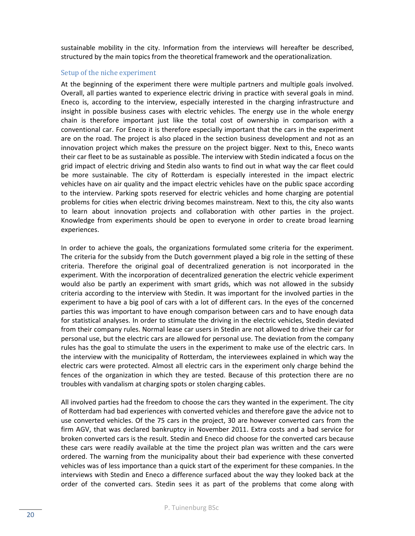sustainable mobility in the city. Information from the interviews will hereafter be described, structured by the main topics from the theoretical framework and the operationalization.

# Setup of the niche experiment

At the beginning of the experiment there were multiple partners and multiple goals involved. Overall, all parties wanted to experience electric driving in practice with several goals in mind. Eneco is, according to the interview, especially interested in the charging infrastructure and insight in possible business cases with electric vehicles. The energy use in the whole energy chain is therefore important just like the total cost of ownership in comparison with a conventional car. For Eneco it is therefore especially important that the cars in the experiment are on the road. The project is also placed in the section business development and not as an innovation project which makes the pressure on the project bigger. Next to this, Eneco wants their car fleet to be as sustainable as possible. The interview with Stedin indicated a focus on the grid impact of electric driving and Stedin also wants to find out in what way the car fleet could be more sustainable. The city of Rotterdam is especially interested in the impact electric vehicles have on air quality and the impact electric vehicles have on the public space according to the interview. Parking spots reserved for electric vehicles and home charging are potential problems for cities when electric driving becomes mainstream. Next to this, the city also wants to learn about innovation projects and collaboration with other parties in the project. Knowledge from experiments should be open to everyone in order to create broad learning experiences.

In order to achieve the goals, the organizations formulated some criteria for the experiment. The criteria for the subsidy from the Dutch government played a big role in the setting of these criteria. Therefore the original goal of decentralized generation is not incorporated in the experiment. With the incorporation of decentralized generation the electric vehicle experiment would also be partly an experiment with smart grids, which was not allowed in the subsidy criteria according to the interview with Stedin. It was important for the involved parties in the experiment to have a big pool of cars with a lot of different cars. In the eyes of the concerned parties this was important to have enough comparison between cars and to have enough data for statistical analyses. In order to stimulate the driving in the electric vehicles, Stedin deviated from their company rules. Normal lease car users in Stedin are not allowed to drive their car for personal use, but the electric cars are allowed for personal use. The deviation from the company rules has the goal to stimulate the users in the experiment to make use of the electric cars. In the interview with the municipality of Rotterdam, the interviewees explained in which way the electric cars were protected. Almost all electric cars in the experiment only charge behind the fences of the organization in which they are tested. Because of this protection there are no troubles with vandalism at charging spots or stolen charging cables.

All involved parties had the freedom to choose the cars they wanted in the experiment. The city of Rotterdam had bad experiences with converted vehicles and therefore gave the advice not to use converted vehicles. Of the 75 cars in the project, 30 are however converted cars from the firm AGV, that was declared bankruptcy in November 2011. Extra costs and a bad service for broken converted cars is the result. Stedin and Eneco did choose for the converted cars because these cars were readily available at the time the project plan was written and the cars were ordered. The warning from the municipality about their bad experience with these converted vehicles was of less importance than a quick start of the experiment for these companies. In the interviews with Stedin and Eneco a difference surfaced about the way they looked back at the order of the converted cars. Stedin sees it as part of the problems that come along with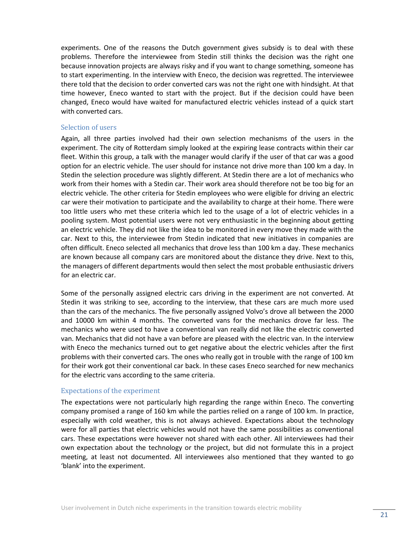experiments. One of the reasons the Dutch government gives subsidy is to deal with these problems. Therefore the interviewee from Stedin still thinks the decision was the right one because innovation projects are always risky and if you want to change something, someone has to start experimenting. In the interview with Eneco, the decision was regretted. The interviewee there told that the decision to order converted cars was not the right one with hindsight. At that time however, Eneco wanted to start with the project. But if the decision could have been changed, Eneco would have waited for manufactured electric vehicles instead of a quick start with converted cars.

#### Selection of users

Again, all three parties involved had their own selection mechanisms of the users in the experiment. The city of Rotterdam simply looked at the expiring lease contracts within their car fleet. Within this group, a talk with the manager would clarify if the user of that car was a good option for an electric vehicle. The user should for instance not drive more than 100 km a day. In Stedin the selection procedure was slightly different. At Stedin there are a lot of mechanics who work from their homes with a Stedin car. Their work area should therefore not be too big for an electric vehicle. The other criteria for Stedin employees who were eligible for driving an electric car were their motivation to participate and the availability to charge at their home. There were too little users who met these criteria which led to the usage of a lot of electric vehicles in a pooling system. Most potential users were not very enthusiastic in the beginning about getting an electric vehicle. They did not like the idea to be monitored in every move they made with the car. Next to this, the interviewee from Stedin indicated that new initiatives in companies are often difficult. Eneco selected all mechanics that drove less than 100 km a day. These mechanics are known because all company cars are monitored about the distance they drive. Next to this, the managers of different departments would then select the most probable enthusiastic drivers for an electric car.

Some of the personally assigned electric cars driving in the experiment are not converted. At Stedin it was striking to see, according to the interview, that these cars are much more used than the cars of the mechanics. The five personally assigned Volvo's drove all between the 2000 and 10000 km within 4 months. The converted vans for the mechanics drove far less. The mechanics who were used to have a conventional van really did not like the electric converted van. Mechanics that did not have a van before are pleased with the electric van. In the interview with Eneco the mechanics turned out to get negative about the electric vehicles after the first problems with their converted cars. The ones who really got in trouble with the range of 100 km for their work got their conventional car back. In these cases Eneco searched for new mechanics for the electric vans according to the same criteria.

# Expectations of the experiment

The expectations were not particularly high regarding the range within Eneco. The converting company promised a range of 160 km while the parties relied on a range of 100 km. In practice, especially with cold weather, this is not always achieved. Expectations about the technology were for all parties that electric vehicles would not have the same possibilities as conventional cars. These expectations were however not shared with each other. All interviewees had their own expectation about the technology or the project, but did not formulate this in a project meeting, at least not documented. All interviewees also mentioned that they wanted to go 'blank' into the experiment.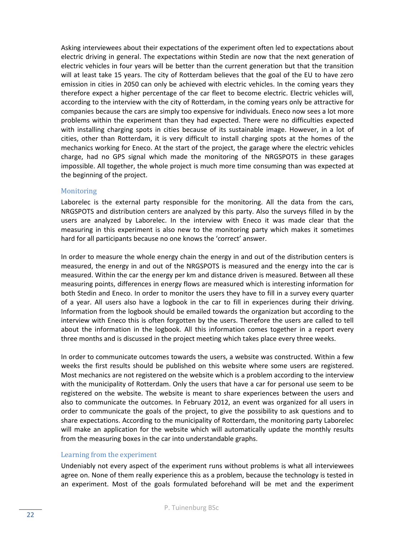Asking interviewees about their expectations of the experiment often led to expectations about electric driving in general. The expectations within Stedin are now that the next generation of electric vehicles in four years will be better than the current generation but that the transition will at least take 15 years. The city of Rotterdam believes that the goal of the EU to have zero emission in cities in 2050 can only be achieved with electric vehicles. In the coming years they therefore expect a higher percentage of the car fleet to become electric. Electric vehicles will, according to the interview with the city of Rotterdam, in the coming years only be attractive for companies because the cars are simply too expensive for individuals. Eneco now sees a lot more problems within the experiment than they had expected. There were no difficulties expected with installing charging spots in cities because of its sustainable image. However, in a lot of cities, other than Rotterdam, it is very difficult to install charging spots at the homes of the mechanics working for Eneco. At the start of the project, the garage where the electric vehicles charge, had no GPS signal which made the monitoring of the NRGSPOTS in these garages impossible. All together, the whole project is much more time consuming than was expected at the beginning of the project.

# **Monitoring**

Laborelec is the external party responsible for the monitoring. All the data from the cars, NRGSPOTS and distribution centers are analyzed by this party. Also the surveys filled in by the users are analyzed by Laborelec. In the interview with Eneco it was made clear that the measuring in this experiment is also new to the monitoring party which makes it sometimes hard for all participants because no one knows the 'correct' answer.

In order to measure the whole energy chain the energy in and out of the distribution centers is measured, the energy in and out of the NRGSPOTS is measured and the energy into the car is measured. Within the car the energy per km and distance driven is measured. Between all these measuring points, differences in energy flows are measured which is interesting information for both Stedin and Eneco. In order to monitor the users they have to fill in a survey every quarter of a year. All users also have a logbook in the car to fill in experiences during their driving. Information from the logbook should be emailed towards the organization but according to the interview with Eneco this is often forgotten by the users. Therefore the users are called to tell about the information in the logbook. All this information comes together in a report every three months and is discussed in the project meeting which takes place every three weeks.

In order to communicate outcomes towards the users, a website was constructed. Within a few weeks the first results should be published on this website where some users are registered. Most mechanics are not registered on the website which is a problem according to the interview with the municipality of Rotterdam. Only the users that have a car for personal use seem to be registered on the website. The website is meant to share experiences between the users and also to communicate the outcomes. In February 2012, an event was organized for all users in order to communicate the goals of the project, to give the possibility to ask questions and to share expectations. According to the municipality of Rotterdam, the monitoring party Laborelec will make an application for the website which will automatically update the monthly results from the measuring boxes in the car into understandable graphs.

# Learning from the experiment

Undeniably not every aspect of the experiment runs without problems is what all interviewees agree on. None of them really experience this as a problem, because the technology is tested in an experiment. Most of the goals formulated beforehand will be met and the experiment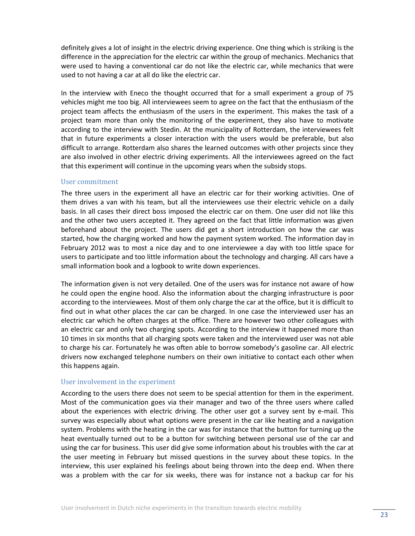definitely gives a lot of insight in the electric driving experience. One thing which is striking is the difference in the appreciation for the electric car within the group of mechanics. Mechanics that were used to having a conventional car do not like the electric car, while mechanics that were used to not having a car at all do like the electric car.

In the interview with Eneco the thought occurred that for a small experiment a group of 75 vehicles might me too big. All interviewees seem to agree on the fact that the enthusiasm of the project team affects the enthusiasm of the users in the experiment. This makes the task of a project team more than only the monitoring of the experiment, they also have to motivate according to the interview with Stedin. At the municipality of Rotterdam, the interviewees felt that in future experiments a closer interaction with the users would be preferable, but also difficult to arrange. Rotterdam also shares the learned outcomes with other projects since they are also involved in other electric driving experiments. All the interviewees agreed on the fact that this experiment will continue in the upcoming years when the subsidy stops.

# User commitment

The three users in the experiment all have an electric car for their working activities. One of them drives a van with his team, but all the interviewees use their electric vehicle on a daily basis. In all cases their direct boss imposed the electric car on them. One user did not like this and the other two users accepted it. They agreed on the fact that little information was given beforehand about the project. The users did get a short introduction on how the car was started, how the charging worked and how the payment system worked. The information day in February 2012 was to most a nice day and to one interviewee a day with too little space for users to participate and too little information about the technology and charging. All cars have a small information book and a logbook to write down experiences.

The information given is not very detailed. One of the users was for instance not aware of how he could open the engine hood. Also the information about the charging infrastructure is poor according to the interviewees. Most of them only charge the car at the office, but it is difficult to find out in what other places the car can be charged. In one case the interviewed user has an electric car which he often charges at the office. There are however two other colleagues with an electric car and only two charging spots. According to the interview it happened more than 10 times in six months that all charging spots were taken and the interviewed user was not able to charge his car. Fortunately he was often able to borrow somebody's gasoline car. All electric drivers now exchanged telephone numbers on their own initiative to contact each other when this happens again.

# User involvement in the experiment

According to the users there does not seem to be special attention for them in the experiment. Most of the communication goes via their manager and two of the three users where called about the experiences with electric driving. The other user got a survey sent by e-mail. This survey was especially about what options were present in the car like heating and a navigation system. Problems with the heating in the car was for instance that the button for turning up the heat eventually turned out to be a button for switching between personal use of the car and using the car for business. This user did give some information about his troubles with the car at the user meeting in February but missed questions in the survey about these topics. In the interview, this user explained his feelings about being thrown into the deep end. When there was a problem with the car for six weeks, there was for instance not a backup car for his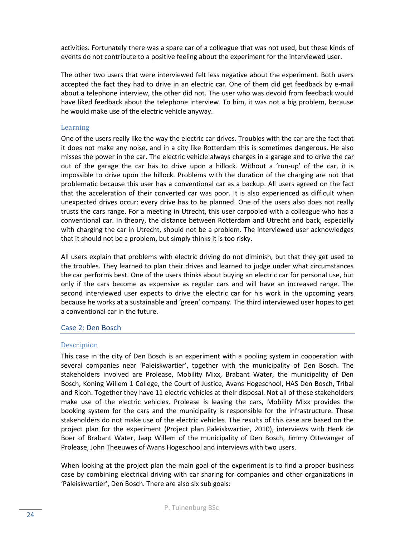activities. Fortunately there was a spare car of a colleague that was not used, but these kinds of events do not contribute to a positive feeling about the experiment for the interviewed user.

The other two users that were interviewed felt less negative about the experiment. Both users accepted the fact they had to drive in an electric car. One of them did get feedback by e-mail about a telephone interview, the other did not. The user who was devoid from feedback would have liked feedback about the telephone interview. To him, it was not a big problem, because he would make use of the electric vehicle anyway.

# Learning

One of the users really like the way the electric car drives. Troubles with the car are the fact that it does not make any noise, and in a city like Rotterdam this is sometimes dangerous. He also misses the power in the car. The electric vehicle always charges in a garage and to drive the car out of the garage the car has to drive upon a hillock. Without a 'run-up' of the car, it is impossible to drive upon the hillock. Problems with the duration of the charging are not that problematic because this user has a conventional car as a backup. All users agreed on the fact that the acceleration of their converted car was poor. It is also experienced as difficult when unexpected drives occur: every drive has to be planned. One of the users also does not really trusts the cars range. For a meeting in Utrecht, this user carpooled with a colleague who has a conventional car. In theory, the distance between Rotterdam and Utrecht and back, especially with charging the car in Utrecht, should not be a problem. The interviewed user acknowledges that it should not be a problem, but simply thinks it is too risky.

All users explain that problems with electric driving do not diminish, but that they get used to the troubles. They learned to plan their drives and learned to judge under what circumstances the car performs best. One of the users thinks about buying an electric car for personal use, but only if the cars become as expensive as regular cars and will have an increased range. The second interviewed user expects to drive the electric car for his work in the upcoming years because he works at a sustainable and 'green' company. The third interviewed user hopes to get a conventional car in the future.

# <span id="page-23-0"></span>Case 2: Den Bosch

# Description

This case in the city of Den Bosch is an experiment with a pooling system in cooperation with several companies near 'Paleiskwartier', together with the municipality of Den Bosch. The stakeholders involved are Prolease, Mobility Mixx, Brabant Water, the municipality of Den Bosch, Koning Willem 1 College, the Court of Justice, Avans Hogeschool, HAS Den Bosch, Tribal and Ricoh. Together they have 11 electric vehicles at their disposal. Not all of these stakeholders make use of the electric vehicles. Prolease is leasing the cars, Mobility Mixx provides the booking system for the cars and the municipality is responsible for the infrastructure. These stakeholders do not make use of the electric vehicles. The results of this case are based on the project plan for the experiment (Project plan Paleiskwartier, 2010), interviews with Henk de Boer of Brabant Water, Jaap Willem of the municipality of Den Bosch, Jimmy Ottevanger of Prolease, John Theeuwes of Avans Hogeschool and interviews with two users.

When looking at the project plan the main goal of the experiment is to find a proper business case by combining electrical driving with car sharing for companies and other organizations in 'Paleiskwartier', Den Bosch. There are also six sub goals: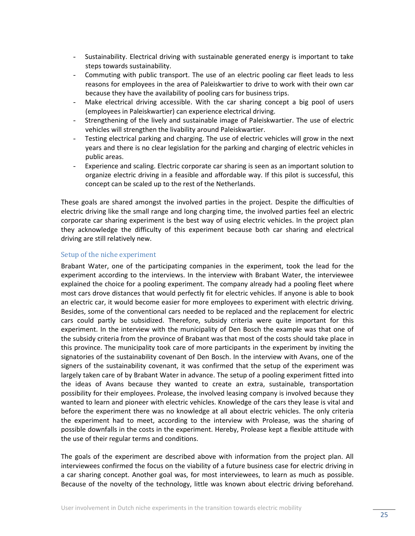- Sustainability. Electrical driving with sustainable generated energy is important to take steps towards sustainability.
- Commuting with public transport. The use of an electric pooling car fleet leads to less reasons for employees in the area of Paleiskwartier to drive to work with their own car because they have the availability of pooling cars for business trips.
- Make electrical driving accessible. With the car sharing concept a big pool of users (employees in Paleiskwartier) can experience electrical driving.
- Strengthening of the lively and sustainable image of Paleiskwartier. The use of electric vehicles will strengthen the livability around Paleiskwartier.
- Testing electrical parking and charging. The use of electric vehicles will grow in the next years and there is no clear legislation for the parking and charging of electric vehicles in public areas.
- Experience and scaling. Electric corporate car sharing is seen as an important solution to organize electric driving in a feasible and affordable way. If this pilot is successful, this concept can be scaled up to the rest of the Netherlands.

These goals are shared amongst the involved parties in the project. Despite the difficulties of electric driving like the small range and long charging time, the involved parties feel an electric corporate car sharing experiment is the best way of using electric vehicles. In the project plan they acknowledge the difficulty of this experiment because both car sharing and electrical driving are still relatively new.

# Setup of the niche experiment

Brabant Water, one of the participating companies in the experiment, took the lead for the experiment according to the interviews. In the interview with Brabant Water, the interviewee explained the choice for a pooling experiment. The company already had a pooling fleet where most cars drove distances that would perfectly fit for electric vehicles. If anyone is able to book an electric car, it would become easier for more employees to experiment with electric driving. Besides, some of the conventional cars needed to be replaced and the replacement for electric cars could partly be subsidized. Therefore, subsidy criteria were quite important for this experiment. In the interview with the municipality of Den Bosch the example was that one of the subsidy criteria from the province of Brabant was that most of the costs should take place in this province. The municipality took care of more participants in the experiment by inviting the signatories of the sustainability covenant of Den Bosch. In the interview with Avans, one of the signers of the sustainability covenant, it was confirmed that the setup of the experiment was largely taken care of by Brabant Water in advance. The setup of a pooling experiment fitted into the ideas of Avans because they wanted to create an extra, sustainable, transportation possibility for their employees. Prolease, the involved leasing company is involved because they wanted to learn and pioneer with electric vehicles. Knowledge of the cars they lease is vital and before the experiment there was no knowledge at all about electric vehicles. The only criteria the experiment had to meet, according to the interview with Prolease, was the sharing of possible downfalls in the costs in the experiment. Hereby, Prolease kept a flexible attitude with the use of their regular terms and conditions.

The goals of the experiment are described above with information from the project plan. All interviewees confirmed the focus on the viability of a future business case for electric driving in a car sharing concept. Another goal was, for most interviewees, to learn as much as possible. Because of the novelty of the technology, little was known about electric driving beforehand.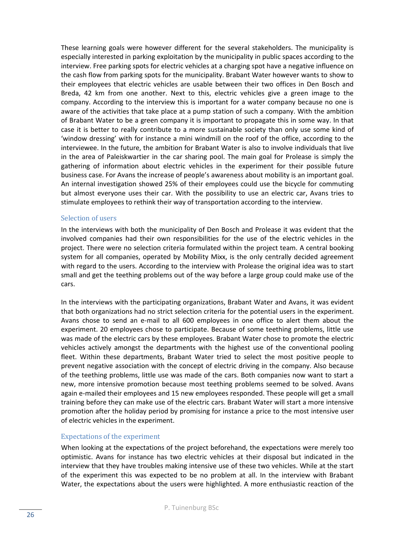These learning goals were however different for the several stakeholders. The municipality is especially interested in parking exploitation by the municipality in public spaces according to the interview. Free parking spots for electric vehicles at a charging spot have a negative influence on the cash flow from parking spots for the municipality. Brabant Water however wants to show to their employees that electric vehicles are usable between their two offices in Den Bosch and Breda, 42 km from one another. Next to this, electric vehicles give a green image to the company. According to the interview this is important for a water company because no one is aware of the activities that take place at a pump station of such a company. With the ambition of Brabant Water to be a green company it is important to propagate this in some way. In that case it is better to really contribute to a more sustainable society than only use some kind of 'window dressing' with for instance a mini windmill on the roof of the office, according to the interviewee. In the future, the ambition for Brabant Water is also to involve individuals that live in the area of Paleiskwartier in the car sharing pool. The main goal for Prolease is simply the gathering of information about electric vehicles in the experiment for their possible future business case. For Avans the increase of people's awareness about mobility is an important goal. An internal investigation showed 25% of their employees could use the bicycle for commuting but almost everyone uses their car. With the possibility to use an electric car, Avans tries to stimulate employees to rethink their way of transportation according to the interview.

# Selection of users

In the interviews with both the municipality of Den Bosch and Prolease it was evident that the involved companies had their own responsibilities for the use of the electric vehicles in the project. There were no selection criteria formulated within the project team. A central booking system for all companies, operated by Mobility Mixx, is the only centrally decided agreement with regard to the users. According to the interview with Prolease the original idea was to start small and get the teething problems out of the way before a large group could make use of the cars.

In the interviews with the participating organizations, Brabant Water and Avans, it was evident that both organizations had no strict selection criteria for the potential users in the experiment. Avans chose to send an e-mail to all 600 employees in one office to alert them about the experiment. 20 employees chose to participate. Because of some teething problems, little use was made of the electric cars by these employees. Brabant Water chose to promote the electric vehicles actively amongst the departments with the highest use of the conventional pooling fleet. Within these departments, Brabant Water tried to select the most positive people to prevent negative association with the concept of electric driving in the company. Also because of the teething problems, little use was made of the cars. Both companies now want to start a new, more intensive promotion because most teething problems seemed to be solved. Avans again e-mailed their employees and 15 new employees responded. These people will get a small training before they can make use of the electric cars. Brabant Water will start a more intensive promotion after the holiday period by promising for instance a price to the most intensive user of electric vehicles in the experiment.

#### Expectations of the experiment

When looking at the expectations of the project beforehand, the expectations were merely too optimistic. Avans for instance has two electric vehicles at their disposal but indicated in the interview that they have troubles making intensive use of these two vehicles. While at the start of the experiment this was expected to be no problem at all. In the interview with Brabant Water, the expectations about the users were highlighted. A more enthusiastic reaction of the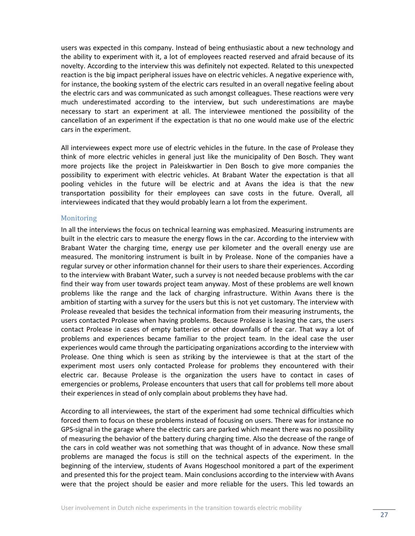users was expected in this company. Instead of being enthusiastic about a new technology and the ability to experiment with it, a lot of employees reacted reserved and afraid because of its novelty. According to the interview this was definitely not expected. Related to this unexpected reaction is the big impact peripheral issues have on electric vehicles. A negative experience with, for instance, the booking system of the electric cars resulted in an overall negative feeling about the electric cars and was communicated as such amongst colleagues. These reactions were very much underestimated according to the interview, but such underestimations are maybe necessary to start an experiment at all. The interviewee mentioned the possibility of the cancellation of an experiment if the expectation is that no one would make use of the electric cars in the experiment.

All interviewees expect more use of electric vehicles in the future. In the case of Prolease they think of more electric vehicles in general just like the municipality of Den Bosch. They want more projects like the project in Paleiskwartier in Den Bosch to give more companies the possibility to experiment with electric vehicles. At Brabant Water the expectation is that all pooling vehicles in the future will be electric and at Avans the idea is that the new transportation possibility for their employees can save costs in the future. Overall, all interviewees indicated that they would probably learn a lot from the experiment.

#### **Monitoring**

In all the interviews the focus on technical learning was emphasized. Measuring instruments are built in the electric cars to measure the energy flows in the car. According to the interview with Brabant Water the charging time, energy use per kilometer and the overall energy use are measured. The monitoring instrument is built in by Prolease. None of the companies have a regular survey or other information channel for their users to share their experiences. According to the interview with Brabant Water, such a survey is not needed because problems with the car find their way from user towards project team anyway. Most of these problems are well known problems like the range and the lack of charging infrastructure. Within Avans there is the ambition of starting with a survey for the users but this is not yet customary. The interview with Prolease revealed that besides the technical information from their measuring instruments, the users contacted Prolease when having problems. Because Prolease is leasing the cars, the users contact Prolease in cases of empty batteries or other downfalls of the car. That way a lot of problems and experiences became familiar to the project team. In the ideal case the user experiences would came through the participating organizations according to the interview with Prolease. One thing which is seen as striking by the interviewee is that at the start of the experiment most users only contacted Prolease for problems they encountered with their electric car. Because Prolease is the organization the users have to contact in cases of emergencies or problems, Prolease encounters that users that call for problems tell more about their experiences in stead of only complain about problems they have had.

According to all interviewees, the start of the experiment had some technical difficulties which forced them to focus on these problems instead of focusing on users. There was for instance no GPS-signal in the garage where the electric cars are parked which meant there was no possibility of measuring the behavior of the battery during charging time. Also the decrease of the range of the cars in cold weather was not something that was thought of in advance. Now these small problems are managed the focus is still on the technical aspects of the experiment. In the beginning of the interview, students of Avans Hogeschool monitored a part of the experiment and presented this for the project team. Main conclusions according to the interview with Avans were that the project should be easier and more reliable for the users. This led towards an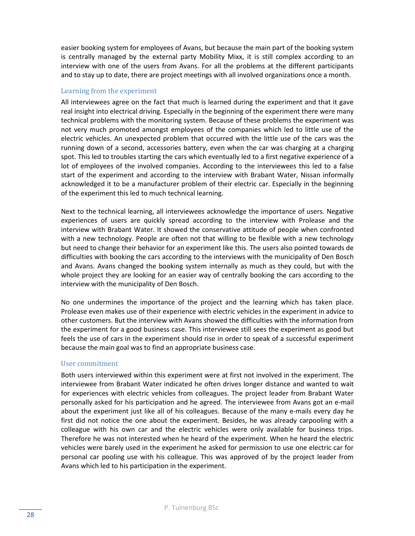easier booking system for employees of Avans, but because the main part of the booking system is centrally managed by the external party Mobility Mixx, it is still complex according to an interview with one of the users from Avans. For all the problems at the different participants and to stay up to date, there are project meetings with all involved organizations once a month.

# Learning from the experiment

All interviewees agree on the fact that much is learned during the experiment and that it gave real insight into electrical driving. Especially in the beginning of the experiment there were many technical problems with the monitoring system. Because of these problems the experiment was not very much promoted amongst employees of the companies which led to little use of the electric vehicles. An unexpected problem that occurred with the little use of the cars was the running down of a second, accessories battery, even when the car was charging at a charging spot. This led to troubles starting the cars which eventually led to a first negative experience of a lot of employees of the involved companies. According to the interviewees this led to a false start of the experiment and according to the interview with Brabant Water, Nissan informally acknowledged it to be a manufacturer problem of their electric car. Especially in the beginning of the experiment this led to much technical learning.

Next to the technical learning, all interviewees acknowledge the importance of users. Negative experiences of users are quickly spread according to the interview with Prolease and the interview with Brabant Water. It showed the conservative attitude of people when confronted with a new technology. People are often not that willing to be flexible with a new technology but need to change their behavior for an experiment like this. The users also pointed towards de difficulties with booking the cars according to the interviews with the municipality of Den Bosch and Avans. Avans changed the booking system internally as much as they could, but with the whole project they are looking for an easier way of centrally booking the cars according to the interview with the municipality of Den Bosch.

No one undermines the importance of the project and the learning which has taken place. Prolease even makes use of their experience with electric vehicles in the experiment in advice to other customers. But the interview with Avans showed the difficulties with the information from the experiment for a good business case. This interviewee still sees the experiment as good but feels the use of cars in the experiment should rise in order to speak of a successful experiment because the main goal was to find an appropriate business case.

# User commitment

Both users interviewed within this experiment were at first not involved in the experiment. The interviewee from Brabant Water indicated he often drives longer distance and wanted to wait for experiences with electric vehicles from colleagues. The project leader from Brabant Water personally asked for his participation and he agreed. The interviewee from Avans got an e-mail about the experiment just like all of his colleagues. Because of the many e-mails every day he first did not notice the one about the experiment. Besides, he was already carpooling with a colleague with his own car and the electric vehicles were only available for business trips. Therefore he was not interested when he heard of the experiment. When he heard the electric vehicles were barely used in the experiment he asked for permission to use one electric car for personal car pooling use with his colleague. This was approved of by the project leader from Avans which led to his participation in the experiment.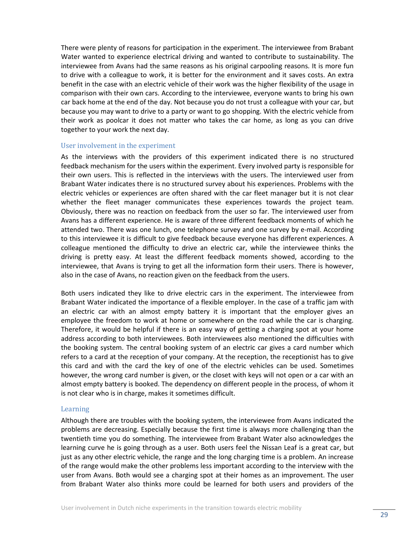There were plenty of reasons for participation in the experiment. The interviewee from Brabant Water wanted to experience electrical driving and wanted to contribute to sustainability. The interviewee from Avans had the same reasons as his original carpooling reasons. It is more fun to drive with a colleague to work, it is better for the environment and it saves costs. An extra benefit in the case with an electric vehicle of their work was the higher flexibility of the usage in comparison with their own cars. According to the interviewee, everyone wants to bring his own car back home at the end of the day. Not because you do not trust a colleague with your car, but because you may want to drive to a party or want to go shopping. With the electric vehicle from their work as poolcar it does not matter who takes the car home, as long as you can drive together to your work the next day.

#### User involvement in the experiment

As the interviews with the providers of this experiment indicated there is no structured feedback mechanism for the users within the experiment. Every involved party is responsible for their own users. This is reflected in the interviews with the users. The interviewed user from Brabant Water indicates there is no structured survey about his experiences. Problems with the electric vehicles or experiences are often shared with the car fleet manager but it is not clear whether the fleet manager communicates these experiences towards the project team. Obviously, there was no reaction on feedback from the user so far. The interviewed user from Avans has a different experience. He is aware of three different feedback moments of which he attended two. There was one lunch, one telephone survey and one survey by e-mail. According to this interviewee it is difficult to give feedback because everyone has different experiences. A colleague mentioned the difficulty to drive an electric car, while the interviewee thinks the driving is pretty easy. At least the different feedback moments showed, according to the interviewee, that Avans is trying to get all the information form their users. There is however, also in the case of Avans, no reaction given on the feedback from the users.

Both users indicated they like to drive electric cars in the experiment. The interviewee from Brabant Water indicated the importance of a flexible employer. In the case of a traffic jam with an electric car with an almost empty battery it is important that the employer gives an employee the freedom to work at home or somewhere on the road while the car is charging. Therefore, it would be helpful if there is an easy way of getting a charging spot at your home address according to both interviewees. Both interviewees also mentioned the difficulties with the booking system. The central booking system of an electric car gives a card number which refers to a card at the reception of your company. At the reception, the receptionist has to give this card and with the card the key of one of the electric vehicles can be used. Sometimes however, the wrong card number is given, or the closet with keys will not open or a car with an almost empty battery is booked. The dependency on different people in the process, of whom it is not clear who is in charge, makes it sometimes difficult.

#### Learning

Although there are troubles with the booking system, the interviewee from Avans indicated the problems are decreasing. Especially because the first time is always more challenging than the twentieth time you do something. The interviewee from Brabant Water also acknowledges the learning curve he is going through as a user. Both users feel the Nissan Leaf is a great car, but just as any other electric vehicle, the range and the long charging time is a problem. An increase of the range would make the other problems less important according to the interview with the user from Avans. Both would see a charging spot at their homes as an improvement. The user from Brabant Water also thinks more could be learned for both users and providers of the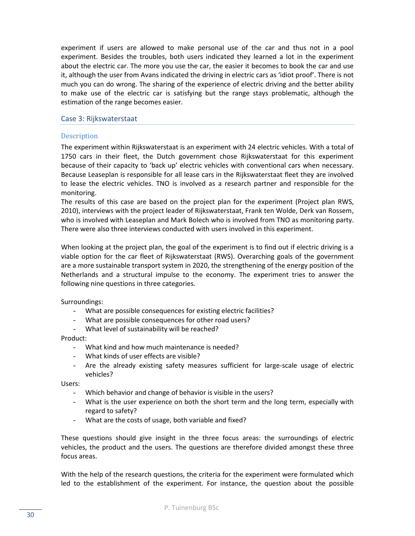experiment if users are allowed to make personal use of the car and thus not in a pool experiment. Besides the troubles, both users indicated they learned a lot in the experiment about the electric car. The more you use the car, the easier it becomes to book the car and use it, although the user from Avans indicated the driving in electric cars as 'idiot proof'. There is not much you can do wrong. The sharing of the experience of electric driving and the better ability to make use of the electric car is satisfying but the range stays problematic, although the estimation of the range becomes easier.

# <span id="page-29-0"></span>Case 3: Rijkswaterstaat

# **Description**

The experiment within Rijkswaterstaat is an experiment with 24 electric vehicles. With a total of 1750 cars in their fleet, the Dutch government chose Rijkswaterstaat for this experiment because of their capacity to 'back up' electric vehicles with conventional cars when necessary. Because Leaseplan is responsible for all lease cars in the Rijkswaterstaat fleet they are involved to lease the electric vehicles. TNO is involved as a research partner and responsible for the monitoring.

The results of this case are based on the project plan for the experiment (Project plan RWS, 2010), interviews with the project leader of Rijkswaterstaat, Frank ten Wolde, Derk van Rossem, who is involved with Leaseplan and Mark Bolech who is involved from TNO as monitoring party. There were also three interviews conducted with users involved in this experiment.

When looking at the project plan, the goal of the experiment is to find out if electric driving is a viable option for the car fleet of Rijkswaterstaat (RWS). Overarching goals of the government are a more sustainable transport system in 2020, the strengthening of the energy position of the Netherlands and a structural impulse to the economy. The experiment tries to answer the following nine questions in three categories.

Surroundings:

- What are possible consequences for existing electric facilities?
- What are possible consequences for other road users?
- What level of sustainability will be reached?

#### Product:

- What kind and how much maintenance is needed?
- What kinds of user effects are visible?
- Are the already existing safety measures sufficient for large-scale usage of electric vehicles?

Users:

- Which behavior and change of behavior is visible in the users?
- What is the user experience on both the short term and the long term, especially with regard to safety?
- What are the costs of usage, both variable and fixed?

These questions should give insight in the three focus areas: the surroundings of electric vehicles, the product and the users. The questions are therefore divided amongst these three focus areas.

With the help of the research questions, the criteria for the experiment were formulated which led to the establishment of the experiment. For instance, the question about the possible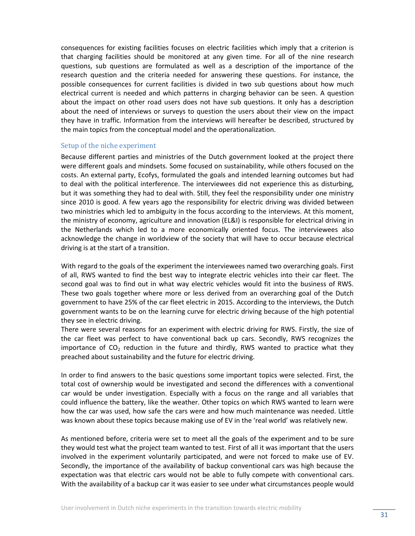consequences for existing facilities focuses on electric facilities which imply that a criterion is that charging facilities should be monitored at any given time. For all of the nine research questions, sub questions are formulated as well as a description of the importance of the research question and the criteria needed for answering these questions. For instance, the possible consequences for current facilities is divided in two sub questions about how much electrical current is needed and which patterns in charging behavior can be seen. A question about the impact on other road users does not have sub questions. It only has a description about the need of interviews or surveys to question the users about their view on the impact they have in traffic. Information from the interviews will hereafter be described, structured by the main topics from the conceptual model and the operationalization.

#### Setup of the niche experiment

Because different parties and ministries of the Dutch government looked at the project there were different goals and mindsets. Some focused on sustainability, while others focused on the costs. An external party, Ecofys, formulated the goals and intended learning outcomes but had to deal with the political interference. The interviewees did not experience this as disturbing, but it was something they had to deal with. Still, they feel the responsibility under one ministry since 2010 is good. A few years ago the responsibility for electric driving was divided between two ministries which led to ambiguity in the focus according to the interviews. At this moment, the ministry of economy, agriculture and innovation (EL&I) is responsible for electrical driving in the Netherlands which led to a more economically oriented focus. The interviewees also acknowledge the change in worldview of the society that will have to occur because electrical driving is at the start of a transition.

With regard to the goals of the experiment the interviewees named two overarching goals. First of all, RWS wanted to find the best way to integrate electric vehicles into their car fleet. The second goal was to find out in what way electric vehicles would fit into the business of RWS. These two goals together where more or less derived from an overarching goal of the Dutch government to have 25% of the car fleet electric in 2015. According to the interviews, the Dutch government wants to be on the learning curve for electric driving because of the high potential they see in electric driving.

There were several reasons for an experiment with electric driving for RWS. Firstly, the size of the car fleet was perfect to have conventional back up cars. Secondly, RWS recognizes the importance of  $CO<sub>2</sub>$  reduction in the future and thirdly, RWS wanted to practice what they preached about sustainability and the future for electric driving.

In order to find answers to the basic questions some important topics were selected. First, the total cost of ownership would be investigated and second the differences with a conventional car would be under investigation. Especially with a focus on the range and all variables that could influence the battery, like the weather. Other topics on which RWS wanted to learn were how the car was used, how safe the cars were and how much maintenance was needed. Little was known about these topics because making use of EV in the 'real world' was relatively new.

As mentioned before, criteria were set to meet all the goals of the experiment and to be sure they would test what the project team wanted to test. First of all it was important that the users involved in the experiment voluntarily participated, and were not forced to make use of EV. Secondly, the importance of the availability of backup conventional cars was high because the expectation was that electric cars would not be able to fully compete with conventional cars. With the availability of a backup car it was easier to see under what circumstances people would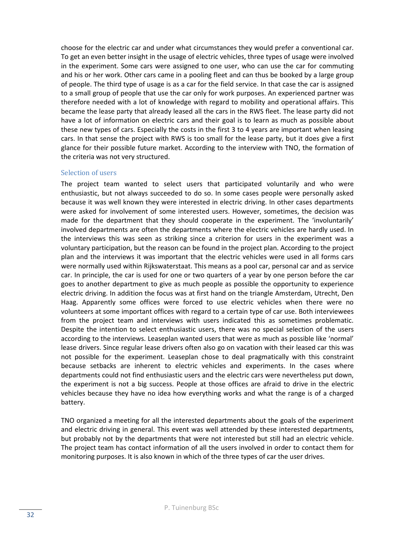choose for the electric car and under what circumstances they would prefer a conventional car. To get an even better insight in the usage of electric vehicles, three types of usage were involved in the experiment. Some cars were assigned to one user, who can use the car for commuting and his or her work. Other cars came in a pooling fleet and can thus be booked by a large group of people. The third type of usage is as a car for the field service. In that case the car is assigned to a small group of people that use the car only for work purposes. An experienced partner was therefore needed with a lot of knowledge with regard to mobility and operational affairs. This became the lease party that already leased all the cars in the RWS fleet. The lease party did not have a lot of information on electric cars and their goal is to learn as much as possible about these new types of cars. Especially the costs in the first 3 to 4 years are important when leasing cars. In that sense the project with RWS is too small for the lease party, but it does give a first glance for their possible future market. According to the interview with TNO, the formation of the criteria was not very structured.

# Selection of users

The project team wanted to select users that participated voluntarily and who were enthusiastic, but not always succeeded to do so. In some cases people were personally asked because it was well known they were interested in electric driving. In other cases departments were asked for involvement of some interested users. However, sometimes, the decision was made for the department that they should cooperate in the experiment. The 'involuntarily' involved departments are often the departments where the electric vehicles are hardly used. In the interviews this was seen as striking since a criterion for users in the experiment was a voluntary participation, but the reason can be found in the project plan. According to the project plan and the interviews it was important that the electric vehicles were used in all forms cars were normally used within Rijkswaterstaat. This means as a pool car, personal car and as service car. In principle, the car is used for one or two quarters of a year by one person before the car goes to another department to give as much people as possible the opportunity to experience electric driving. In addition the focus was at first hand on the triangle Amsterdam, Utrecht, Den Haag. Apparently some offices were forced to use electric vehicles when there were no volunteers at some important offices with regard to a certain type of car use. Both interviewees from the project team and interviews with users indicated this as sometimes problematic. Despite the intention to select enthusiastic users, there was no special selection of the users according to the interviews. Leaseplan wanted users that were as much as possible like 'normal' lease drivers. Since regular lease drivers often also go on vacation with their leased car this was not possible for the experiment. Leaseplan chose to deal pragmatically with this constraint because setbacks are inherent to electric vehicles and experiments. In the cases where departments could not find enthusiastic users and the electric cars were nevertheless put down, the experiment is not a big success. People at those offices are afraid to drive in the electric vehicles because they have no idea how everything works and what the range is of a charged battery.

TNO organized a meeting for all the interested departments about the goals of the experiment and electric driving in general. This event was well attended by these interested departments, but probably not by the departments that were not interested but still had an electric vehicle. The project team has contact information of all the users involved in order to contact them for monitoring purposes. It is also known in which of the three types of car the user drives.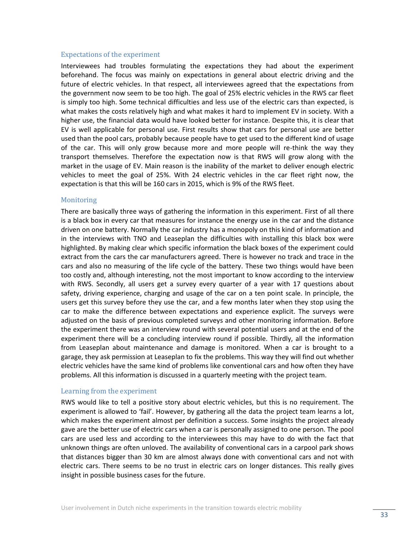#### Expectations of the experiment

Interviewees had troubles formulating the expectations they had about the experiment beforehand. The focus was mainly on expectations in general about electric driving and the future of electric vehicles. In that respect, all interviewees agreed that the expectations from the government now seem to be too high. The goal of 25% electric vehicles in the RWS car fleet is simply too high. Some technical difficulties and less use of the electric cars than expected, is what makes the costs relatively high and what makes it hard to implement EV in society. With a higher use, the financial data would have looked better for instance. Despite this, it is clear that EV is well applicable for personal use. First results show that cars for personal use are better used than the pool cars, probably because people have to get used to the different kind of usage of the car. This will only grow because more and more people will re-think the way they transport themselves. Therefore the expectation now is that RWS will grow along with the market in the usage of EV. Main reason is the inability of the market to deliver enough electric vehicles to meet the goal of 25%. With 24 electric vehicles in the car fleet right now, the expectation is that this will be 160 cars in 2015, which is 9% of the RWS fleet.

#### **Monitoring**

There are basically three ways of gathering the information in this experiment. First of all there is a black box in every car that measures for instance the energy use in the car and the distance driven on one battery. Normally the car industry has a monopoly on this kind of information and in the interviews with TNO and Leaseplan the difficulties with installing this black box were highlighted. By making clear which specific information the black boxes of the experiment could extract from the cars the car manufacturers agreed. There is however no track and trace in the cars and also no measuring of the life cycle of the battery. These two things would have been too costly and, although interesting, not the most important to know according to the interview with RWS. Secondly, all users get a survey every quarter of a year with 17 questions about safety, driving experience, charging and usage of the car on a ten point scale. In principle, the users get this survey before they use the car, and a few months later when they stop using the car to make the difference between expectations and experience explicit. The surveys were adjusted on the basis of previous completed surveys and other monitoring information. Before the experiment there was an interview round with several potential users and at the end of the experiment there will be a concluding interview round if possible. Thirdly, all the information from Leaseplan about maintenance and damage is monitored. When a car is brought to a garage, they ask permission at Leaseplan to fix the problems. This way they will find out whether electric vehicles have the same kind of problems like conventional cars and how often they have problems. All this information is discussed in a quarterly meeting with the project team.

#### Learning from the experiment

RWS would like to tell a positive story about electric vehicles, but this is no requirement. The experiment is allowed to 'fail'. However, by gathering all the data the project team learns a lot, which makes the experiment almost per definition a success. Some insights the project already gave are the better use of electric cars when a car is personally assigned to one person. The pool cars are used less and according to the interviewees this may have to do with the fact that unknown things are often unloved. The availability of conventional cars in a carpool park shows that distances bigger than 30 km are almost always done with conventional cars and not with electric cars. There seems to be no trust in electric cars on longer distances. This really gives insight in possible business cases for the future.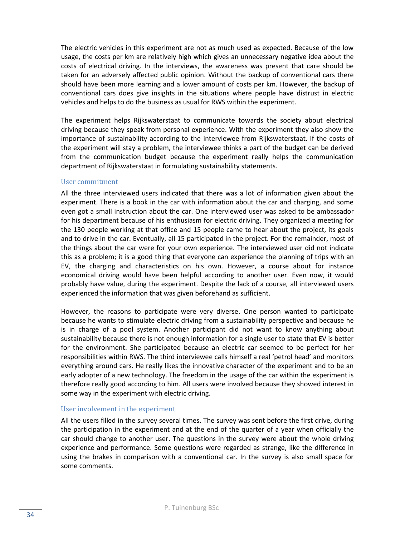The electric vehicles in this experiment are not as much used as expected. Because of the low usage, the costs per km are relatively high which gives an unnecessary negative idea about the costs of electrical driving. In the interviews, the awareness was present that care should be taken for an adversely affected public opinion. Without the backup of conventional cars there should have been more learning and a lower amount of costs per km. However, the backup of conventional cars does give insights in the situations where people have distrust in electric vehicles and helps to do the business as usual for RWS within the experiment.

The experiment helps Rijkswaterstaat to communicate towards the society about electrical driving because they speak from personal experience. With the experiment they also show the importance of sustainability according to the interviewee from Rijkswaterstaat. If the costs of the experiment will stay a problem, the interviewee thinks a part of the budget can be derived from the communication budget because the experiment really helps the communication department of Rijkswaterstaat in formulating sustainability statements.

# User commitment

All the three interviewed users indicated that there was a lot of information given about the experiment. There is a book in the car with information about the car and charging, and some even got a small instruction about the car. One interviewed user was asked to be ambassador for his department because of his enthusiasm for electric driving. They organized a meeting for the 130 people working at that office and 15 people came to hear about the project, its goals and to drive in the car. Eventually, all 15 participated in the project. For the remainder, most of the things about the car were for your own experience. The interviewed user did not indicate this as a problem; it is a good thing that everyone can experience the planning of trips with an EV, the charging and characteristics on his own. However, a course about for instance economical driving would have been helpful according to another user. Even now, it would probably have value, during the experiment. Despite the lack of a course, all interviewed users experienced the information that was given beforehand as sufficient.

However, the reasons to participate were very diverse. One person wanted to participate because he wants to stimulate electric driving from a sustainability perspective and because he is in charge of a pool system. Another participant did not want to know anything about sustainability because there is not enough information for a single user to state that EV is better for the environment. She participated because an electric car seemed to be perfect for her responsibilities within RWS. The third interviewee calls himself a real 'petrol head' and monitors everything around cars. He really likes the innovative character of the experiment and to be an early adopter of a new technology. The freedom in the usage of the car within the experiment is therefore really good according to him. All users were involved because they showed interest in some way in the experiment with electric driving.

# User involvement in the experiment

All the users filled in the survey several times. The survey was sent before the first drive, during the participation in the experiment and at the end of the quarter of a year when officially the car should change to another user. The questions in the survey were about the whole driving experience and performance. Some questions were regarded as strange, like the difference in using the brakes in comparison with a conventional car. In the survey is also small space for some comments.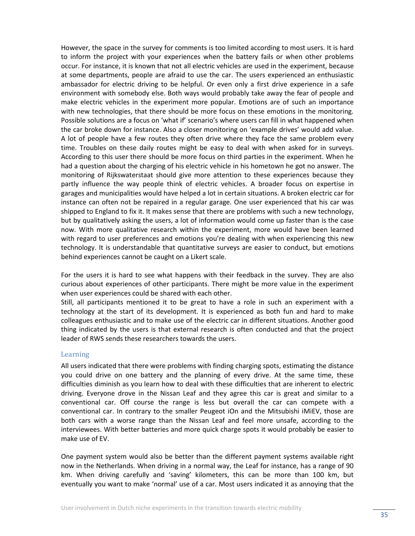However, the space in the survey for comments is too limited according to most users. It is hard to inform the project with your experiences when the battery fails or when other problems occur. For instance, it is known that not all electric vehicles are used in the experiment, because at some departments, people are afraid to use the car. The users experienced an enthusiastic ambassador for electric driving to be helpful. Or even only a first drive experience in a safe environment with somebody else. Both ways would probably take away the fear of people and make electric vehicles in the experiment more popular. Emotions are of such an importance with new technologies, that there should be more focus on these emotions in the monitoring. Possible solutions are a focus on 'what if' scenario's where users can fill in what happened when the car broke down for instance. Also a closer monitoring on 'example drives' would add value. A lot of people have a few routes they often drive where they face the same problem every time. Troubles on these daily routes might be easy to deal with when asked for in surveys. According to this user there should be more focus on third parties in the experiment. When he had a question about the charging of his electric vehicle in his hometown he got no answer. The monitoring of Rijkswaterstaat should give more attention to these experiences because they partly influence the way people think of electric vehicles. A broader focus on expertise in garages and municipalities would have helped a lot in certain situations. A broken electric car for instance can often not be repaired in a regular garage. One user experienced that his car was shipped to England to fix it. It makes sense that there are problems with such a new technology, but by qualitatively asking the users, a lot of information would come up faster than is the case now. With more qualitative research within the experiment, more would have been learned with regard to user preferences and emotions you're dealing with when experiencing this new technology. It is understandable that quantitative surveys are easier to conduct, but emotions behind experiences cannot be caught on a Likert scale.

For the users it is hard to see what happens with their feedback in the survey. They are also curious about experiences of other participants. There might be more value in the experiment when user experiences could be shared with each other.

Still, all participants mentioned it to be great to have a role in such an experiment with a technology at the start of its development. It is experienced as both fun and hard to make colleagues enthusiastic and to make use of the electric car in different situations. Another good thing indicated by the users is that external research is often conducted and that the project leader of RWS sends these researchers towards the users.

#### Learning

All users indicated that there were problems with finding charging spots, estimating the distance you could drive on one battery and the planning of every drive. At the same time, these difficulties diminish as you learn how to deal with these difficulties that are inherent to electric driving. Everyone drove in the Nissan Leaf and they agree this car is great and similar to a conventional car. Off course the range is less but overall the car can compete with a conventional car. In contrary to the smaller Peugeot iOn and the Mitsubishi iMiEV, those are both cars with a worse range than the Nissan Leaf and feel more unsafe, according to the interviewees. With better batteries and more quick charge spots it would probably be easier to make use of EV.

One payment system would also be better than the different payment systems available right now in the Netherlands. When driving in a normal way, the Leaf for instance, has a range of 90 km. When driving carefully and 'saving' kilometers, this can be more than 100 km, but eventually you want to make 'normal' use of a car. Most users indicated it as annoying that the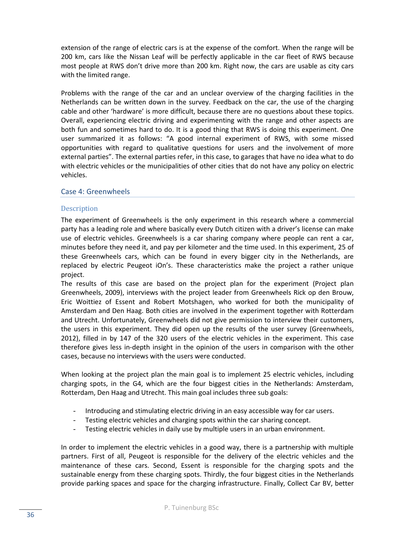extension of the range of electric cars is at the expense of the comfort. When the range will be 200 km, cars like the Nissan Leaf will be perfectly applicable in the car fleet of RWS because most people at RWS don't drive more than 200 km. Right now, the cars are usable as city cars with the limited range.

Problems with the range of the car and an unclear overview of the charging facilities in the Netherlands can be written down in the survey. Feedback on the car, the use of the charging cable and other 'hardware' is more difficult, because there are no questions about these topics. Overall, experiencing electric driving and experimenting with the range and other aspects are both fun and sometimes hard to do. It is a good thing that RWS is doing this experiment. One user summarized it as follows: "A good internal experiment of RWS, with some missed opportunities with regard to qualitative questions for users and the involvement of more external parties". The external parties refer, in this case, to garages that have no idea what to do with electric vehicles or the municipalities of other cities that do not have any policy on electric vehicles.

# <span id="page-35-0"></span>Case 4: Greenwheels

# **Description**

The experiment of Greenwheels is the only experiment in this research where a commercial party has a leading role and where basically every Dutch citizen with a driver's license can make use of electric vehicles. Greenwheels is a car sharing company where people can rent a car, minutes before they need it, and pay per kilometer and the time used. In this experiment, 25 of these Greenwheels cars, which can be found in every bigger city in the Netherlands, are replaced by electric Peugeot iOn's. These characteristics make the project a rather unique project.

The results of this case are based on the project plan for the experiment (Project plan Greenwheels, 2009), interviews with the project leader from Greenwheels Rick op den Brouw, Eric Woittiez of Essent and Robert Motshagen, who worked for both the municipality of Amsterdam and Den Haag. Both cities are involved in the experiment together with Rotterdam and Utrecht. Unfortunately, Greenwheels did not give permission to interview their customers, the users in this experiment. They did open up the results of the user survey (Greenwheels, 2012), filled in by 147 of the 320 users of the electric vehicles in the experiment. This case therefore gives less in-depth insight in the opinion of the users in comparison with the other cases, because no interviews with the users were conducted.

When looking at the project plan the main goal is to implement 25 electric vehicles, including charging spots, in the G4, which are the four biggest cities in the Netherlands: Amsterdam, Rotterdam, Den Haag and Utrecht. This main goal includes three sub goals:

- Introducing and stimulating electric driving in an easy accessible way for car users.
- Testing electric vehicles and charging spots within the car sharing concept.
- Testing electric vehicles in daily use by multiple users in an urban environment.

In order to implement the electric vehicles in a good way, there is a partnership with multiple partners. First of all, Peugeot is responsible for the delivery of the electric vehicles and the maintenance of these cars. Second, Essent is responsible for the charging spots and the sustainable energy from these charging spots. Thirdly, the four biggest cities in the Netherlands provide parking spaces and space for the charging infrastructure. Finally, Collect Car BV, better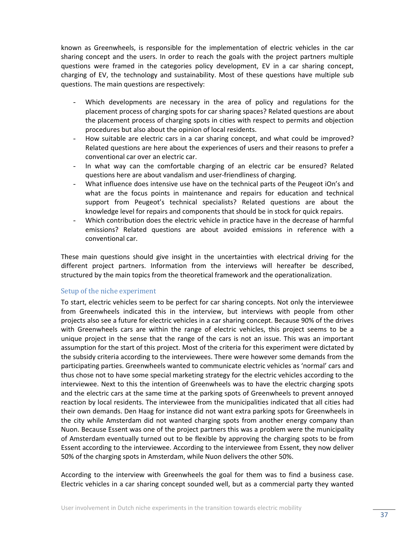known as Greenwheels, is responsible for the implementation of electric vehicles in the car sharing concept and the users. In order to reach the goals with the project partners multiple questions were framed in the categories policy development, EV in a car sharing concept, charging of EV, the technology and sustainability. Most of these questions have multiple sub questions. The main questions are respectively:

- Which developments are necessary in the area of policy and regulations for the placement process of charging spots for car sharing spaces? Related questions are about the placement process of charging spots in cities with respect to permits and objection procedures but also about the opinion of local residents.
- How suitable are electric cars in a car sharing concept, and what could be improved? Related questions are here about the experiences of users and their reasons to prefer a conventional car over an electric car.
- In what way can the comfortable charging of an electric car be ensured? Related questions here are about vandalism and user-friendliness of charging.
- What influence does intensive use have on the technical parts of the Peugeot iOn's and what are the focus points in maintenance and repairs for education and technical support from Peugeot's technical specialists? Related questions are about the knowledge level for repairs and components that should be in stock for quick repairs.
- Which contribution does the electric vehicle in practice have in the decrease of harmful emissions? Related questions are about avoided emissions in reference with a conventional car.

These main questions should give insight in the uncertainties with electrical driving for the different project partners. Information from the interviews will hereafter be described, structured by the main topics from the theoretical framework and the operationalization.

# Setup of the niche experiment

To start, electric vehicles seem to be perfect for car sharing concepts. Not only the interviewee from Greenwheels indicated this in the interview, but interviews with people from other projects also see a future for electric vehicles in a car sharing concept. Because 90% of the drives with Greenwheels cars are within the range of electric vehicles, this project seems to be a unique project in the sense that the range of the cars is not an issue. This was an important assumption for the start of this project. Most of the criteria for this experiment were dictated by the subsidy criteria according to the interviewees. There were however some demands from the participating parties. Greenwheels wanted to communicate electric vehicles as 'normal' cars and thus chose not to have some special marketing strategy for the electric vehicles according to the interviewee. Next to this the intention of Greenwheels was to have the electric charging spots and the electric cars at the same time at the parking spots of Greenwheels to prevent annoyed reaction by local residents. The interviewee from the municipalities indicated that all cities had their own demands. Den Haag for instance did not want extra parking spots for Greenwheels in the city while Amsterdam did not wanted charging spots from another energy company than Nuon. Because Essent was one of the project partners this was a problem were the municipality of Amsterdam eventually turned out to be flexible by approving the charging spots to be from Essent according to the interviewee. According to the interviewee from Essent, they now deliver 50% of the charging spots in Amsterdam, while Nuon delivers the other 50%.

According to the interview with Greenwheels the goal for them was to find a business case. Electric vehicles in a car sharing concept sounded well, but as a commercial party they wanted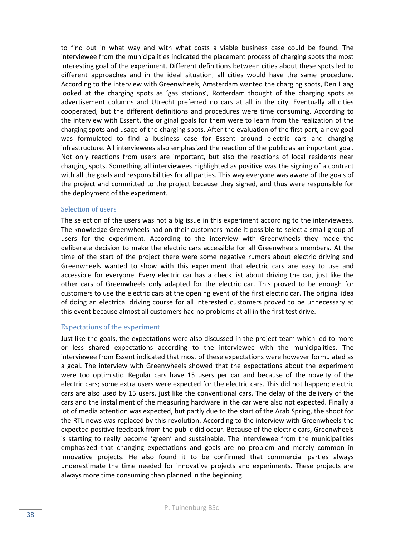to find out in what way and with what costs a viable business case could be found. The interviewee from the municipalities indicated the placement process of charging spots the most interesting goal of the experiment. Different definitions between cities about these spots led to different approaches and in the ideal situation, all cities would have the same procedure. According to the interview with Greenwheels, Amsterdam wanted the charging spots, Den Haag looked at the charging spots as 'gas stations', Rotterdam thought of the charging spots as advertisement columns and Utrecht preferred no cars at all in the city. Eventually all cities cooperated, but the different definitions and procedures were time consuming. According to the interview with Essent, the original goals for them were to learn from the realization of the charging spots and usage of the charging spots. After the evaluation of the first part, a new goal was formulated to find a business case for Essent around electric cars and charging infrastructure. All interviewees also emphasized the reaction of the public as an important goal. Not only reactions from users are important, but also the reactions of local residents near charging spots. Something all interviewees highlighted as positive was the signing of a contract with all the goals and responsibilities for all parties. This way everyone was aware of the goals of the project and committed to the project because they signed, and thus were responsible for the deployment of the experiment.

#### Selection of users

The selection of the users was not a big issue in this experiment according to the interviewees. The knowledge Greenwheels had on their customers made it possible to select a small group of users for the experiment. According to the interview with Greenwheels they made the deliberate decision to make the electric cars accessible for all Greenwheels members. At the time of the start of the project there were some negative rumors about electric driving and Greenwheels wanted to show with this experiment that electric cars are easy to use and accessible for everyone. Every electric car has a check list about driving the car, just like the other cars of Greenwheels only adapted for the electric car. This proved to be enough for customers to use the electric cars at the opening event of the first electric car. The original idea of doing an electrical driving course for all interested customers proved to be unnecessary at this event because almost all customers had no problems at all in the first test drive.

# Expectations of the experiment

Just like the goals, the expectations were also discussed in the project team which led to more or less shared expectations according to the interviewee with the municipalities. The interviewee from Essent indicated that most of these expectations were however formulated as a goal. The interview with Greenwheels showed that the expectations about the experiment were too optimistic. Regular cars have 15 users per car and because of the novelty of the electric cars; some extra users were expected for the electric cars. This did not happen; electric cars are also used by 15 users, just like the conventional cars. The delay of the delivery of the cars and the installment of the measuring hardware in the car were also not expected. Finally a lot of media attention was expected, but partly due to the start of the Arab Spring, the shoot for the RTL news was replaced by this revolution. According to the interview with Greenwheels the expected positive feedback from the public did occur. Because of the electric cars, Greenwheels is starting to really become 'green' and sustainable. The interviewee from the municipalities emphasized that changing expectations and goals are no problem and merely common in innovative projects. He also found it to be confirmed that commercial parties always underestimate the time needed for innovative projects and experiments. These projects are always more time consuming than planned in the beginning.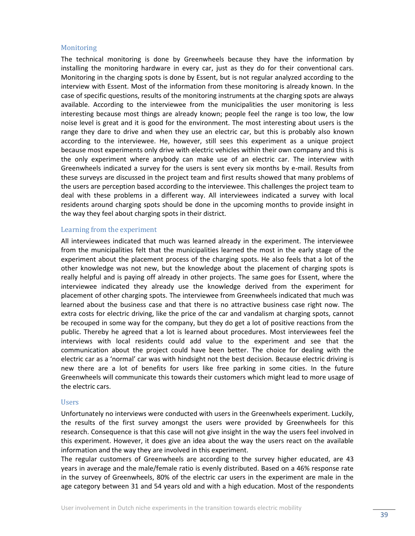#### Monitoring

The technical monitoring is done by Greenwheels because they have the information by installing the monitoring hardware in every car, just as they do for their conventional cars. Monitoring in the charging spots is done by Essent, but is not regular analyzed according to the interview with Essent. Most of the information from these monitoring is already known. In the case of specific questions, results of the monitoring instruments at the charging spots are always available. According to the interviewee from the municipalities the user monitoring is less interesting because most things are already known; people feel the range is too low, the low noise level is great and it is good for the environment. The most interesting about users is the range they dare to drive and when they use an electric car, but this is probably also known according to the interviewee. He, however, still sees this experiment as a unique project because most experiments only drive with electric vehicles within their own company and this is the only experiment where anybody can make use of an electric car. The interview with Greenwheels indicated a survey for the users is sent every six months by e-mail. Results from these surveys are discussed in the project team and first results showed that many problems of the users are perception based according to the interviewee. This challenges the project team to deal with these problems in a different way. All interviewees indicated a survey with local residents around charging spots should be done in the upcoming months to provide insight in the way they feel about charging spots in their district.

#### Learning from the experiment

All interviewees indicated that much was learned already in the experiment. The interviewee from the municipalities felt that the municipalities learned the most in the early stage of the experiment about the placement process of the charging spots. He also feels that a lot of the other knowledge was not new, but the knowledge about the placement of charging spots is really helpful and is paying off already in other projects. The same goes for Essent, where the interviewee indicated they already use the knowledge derived from the experiment for placement of other charging spots. The interviewee from Greenwheels indicated that much was learned about the business case and that there is no attractive business case right now. The extra costs for electric driving, like the price of the car and vandalism at charging spots, cannot be recouped in some way for the company, but they do get a lot of positive reactions from the public. Thereby he agreed that a lot is learned about procedures. Most interviewees feel the interviews with local residents could add value to the experiment and see that the communication about the project could have been better. The choice for dealing with the electric car as a 'normal' car was with hindsight not the best decision. Because electric driving is new there are a lot of benefits for users like free parking in some cities. In the future Greenwheels will communicate this towards their customers which might lead to more usage of the electric cars.

#### Users

Unfortunately no interviews were conducted with users in the Greenwheels experiment. Luckily, the results of the first survey amongst the users were provided by Greenwheels for this research. Consequence is that this case will not give insight in the way the users feel involved in this experiment. However, it does give an idea about the way the users react on the available information and the way they are involved in this experiment.

The regular customers of Greenwheels are according to the survey higher educated, are 43 years in average and the male/female ratio is evenly distributed. Based on a 46% response rate in the survey of Greenwheels, 80% of the electric car users in the experiment are male in the age category between 31 and 54 years old and with a high education. Most of the respondents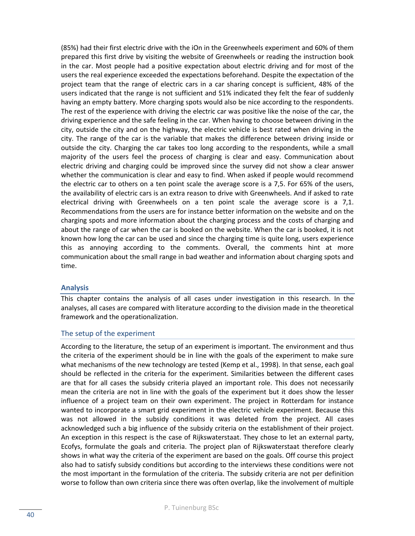(85%) had their first electric drive with the iOn in the Greenwheels experiment and 60% of them prepared this first drive by visiting the website of Greenwheels or reading the instruction book in the car. Most people had a positive expectation about electric driving and for most of the users the real experience exceeded the expectations beforehand. Despite the expectation of the project team that the range of electric cars in a car sharing concept is sufficient, 48% of the users indicated that the range is not sufficient and 51% indicated they felt the fear of suddenly having an empty battery. More charging spots would also be nice according to the respondents. The rest of the experience with driving the electric car was positive like the noise of the car, the driving experience and the safe feeling in the car. When having to choose between driving in the city, outside the city and on the highway, the electric vehicle is best rated when driving in the city. The range of the car is the variable that makes the difference between driving inside or outside the city. Charging the car takes too long according to the respondents, while a small majority of the users feel the process of charging is clear and easy. Communication about electric driving and charging could be improved since the survey did not show a clear answer whether the communication is clear and easy to find. When asked if people would recommend the electric car to others on a ten point scale the average score is a 7,5. For 65% of the users, the availability of electric cars is an extra reason to drive with Greenwheels. And if asked to rate electrical driving with Greenwheels on a ten point scale the average score is a 7,1. Recommendations from the users are for instance better information on the website and on the charging spots and more information about the charging process and the costs of charging and about the range of car when the car is booked on the website. When the car is booked, it is not known how long the car can be used and since the charging time is quite long, users experience this as annoying according to the comments. Overall, the comments hint at more communication about the small range in bad weather and information about charging spots and time.

# <span id="page-39-0"></span>**Analysis**

This chapter contains the analysis of all cases under investigation in this research. In the analyses, all cases are compared with literature according to the division made in the theoretical framework and the operationalization.

#### <span id="page-39-1"></span>The setup of the experiment

According to the literature, the setup of an experiment is important. The environment and thus the criteria of the experiment should be in line with the goals of the experiment to make sure what mechanisms of the new technology are tested (Kemp et al., 1998). In that sense, each goal should be reflected in the criteria for the experiment. Similarities between the different cases are that for all cases the subsidy criteria played an important role. This does not necessarily mean the criteria are not in line with the goals of the experiment but it does show the lesser influence of a project team on their own experiment. The project in Rotterdam for instance wanted to incorporate a smart grid experiment in the electric vehicle experiment. Because this was not allowed in the subsidy conditions it was deleted from the project. All cases acknowledged such a big influence of the subsidy criteria on the establishment of their project. An exception in this respect is the case of Rijkswaterstaat. They chose to let an external party, Ecofys, formulate the goals and criteria. The project plan of Rijkswaterstaat therefore clearly shows in what way the criteria of the experiment are based on the goals. Off course this project also had to satisfy subsidy conditions but according to the interviews these conditions were not the most important in the formulation of the criteria. The subsidy criteria are not per definition worse to follow than own criteria since there was often overlap, like the involvement of multiple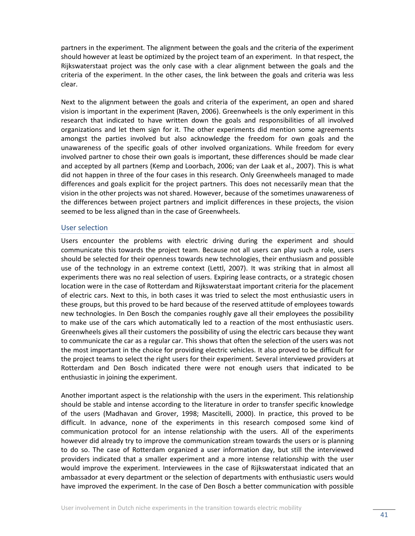partners in the experiment. The alignment between the goals and the criteria of the experiment should however at least be optimized by the project team of an experiment. In that respect, the Rijkswaterstaat project was the only case with a clear alignment between the goals and the criteria of the experiment. In the other cases, the link between the goals and criteria was less clear.

Next to the alignment between the goals and criteria of the experiment, an open and shared vision is important in the experiment (Raven, 2006). Greenwheels is the only experiment in this research that indicated to have written down the goals and responsibilities of all involved organizations and let them sign for it. The other experiments did mention some agreements amongst the parties involved but also acknowledge the freedom for own goals and the unawareness of the specific goals of other involved organizations. While freedom for every involved partner to chose their own goals is important, these differences should be made clear and accepted by all partners (Kemp and Loorbach, 2006; van der Laak et al., 2007). This is what did not happen in three of the four cases in this research. Only Greenwheels managed to made differences and goals explicit for the project partners. This does not necessarily mean that the vision in the other projects was not shared. However, because of the sometimes unawareness of the differences between project partners and implicit differences in these projects, the vision seemed to be less aligned than in the case of Greenwheels.

#### <span id="page-40-0"></span>User selection

Users encounter the problems with electric driving during the experiment and should communicate this towards the project team. Because not all users can play such a role, users should be selected for their openness towards new technologies, their enthusiasm and possible use of the technology in an extreme context (Lettl, 2007). It was striking that in almost all experiments there was no real selection of users. Expiring lease contracts, or a strategic chosen location were in the case of Rotterdam and Rijkswaterstaat important criteria for the placement of electric cars. Next to this, in both cases it was tried to select the most enthusiastic users in these groups, but this proved to be hard because of the reserved attitude of employees towards new technologies. In Den Bosch the companies roughly gave all their employees the possibility to make use of the cars which automatically led to a reaction of the most enthusiastic users. Greenwheels gives all their customers the possibility of using the electric cars because they want to communicate the car as a regular car. This shows that often the selection of the users was not the most important in the choice for providing electric vehicles. It also proved to be difficult for the project teams to select the right users for their experiment. Several interviewed providers at Rotterdam and Den Bosch indicated there were not enough users that indicated to be enthusiastic in joining the experiment.

Another important aspect is the relationship with the users in the experiment. This relationship should be stable and intense according to the literature in order to transfer specific knowledge of the users (Madhavan and Grover, 1998; Mascitelli, 2000). In practice, this proved to be difficult. In advance, none of the experiments in this research composed some kind of communication protocol for an intense relationship with the users. All of the experiments however did already try to improve the communication stream towards the users or is planning to do so. The case of Rotterdam organized a user information day, but still the interviewed providers indicated that a smaller experiment and a more intense relationship with the user would improve the experiment. Interviewees in the case of Rijkswaterstaat indicated that an ambassador at every department or the selection of departments with enthusiastic users would have improved the experiment. In the case of Den Bosch a better communication with possible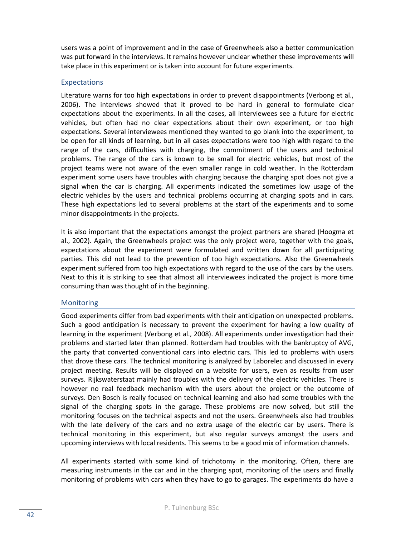users was a point of improvement and in the case of Greenwheels also a better communication was put forward in the interviews. It remains however unclear whether these improvements will take place in this experiment or is taken into account for future experiments.

# <span id="page-41-0"></span>Expectations

Literature warns for too high expectations in order to prevent disappointments (Verbong et al., 2006). The interviews showed that it proved to be hard in general to formulate clear expectations about the experiments. In all the cases, all interviewees see a future for electric vehicles, but often had no clear expectations about their own experiment, or too high expectations. Several interviewees mentioned they wanted to go blank into the experiment, to be open for all kinds of learning, but in all cases expectations were too high with regard to the range of the cars, difficulties with charging, the commitment of the users and technical problems. The range of the cars is known to be small for electric vehicles, but most of the project teams were not aware of the even smaller range in cold weather. In the Rotterdam experiment some users have troubles with charging because the charging spot does not give a signal when the car is charging. All experiments indicated the sometimes low usage of the electric vehicles by the users and technical problems occurring at charging spots and in cars. These high expectations led to several problems at the start of the experiments and to some minor disappointments in the projects.

It is also important that the expectations amongst the project partners are shared (Hoogma et al., 2002). Again, the Greenwheels project was the only project were, together with the goals, expectations about the experiment were formulated and written down for all participating parties. This did not lead to the prevention of too high expectations. Also the Greenwheels experiment suffered from too high expectations with regard to the use of the cars by the users. Next to this it is striking to see that almost all interviewees indicated the project is more time consuming than was thought of in the beginning.

# <span id="page-41-1"></span>Monitoring

Good experiments differ from bad experiments with their anticipation on unexpected problems. Such a good anticipation is necessary to prevent the experiment for having a low quality of learning in the experiment (Verbong et al., 2008). All experiments under investigation had their problems and started later than planned. Rotterdam had troubles with the bankruptcy of AVG, the party that converted conventional cars into electric cars. This led to problems with users that drove these cars. The technical monitoring is analyzed by Laborelec and discussed in every project meeting. Results will be displayed on a website for users, even as results from user surveys. Rijkswaterstaat mainly had troubles with the delivery of the electric vehicles. There is however no real feedback mechanism with the users about the project or the outcome of surveys. Den Bosch is really focused on technical learning and also had some troubles with the signal of the charging spots in the garage. These problems are now solved, but still the monitoring focuses on the technical aspects and not the users. Greenwheels also had troubles with the late delivery of the cars and no extra usage of the electric car by users. There is technical monitoring in this experiment, but also regular surveys amongst the users and upcoming interviews with local residents. This seems to be a good mix of information channels.

All experiments started with some kind of trichotomy in the monitoring. Often, there are measuring instruments in the car and in the charging spot, monitoring of the users and finally monitoring of problems with cars when they have to go to garages. The experiments do have a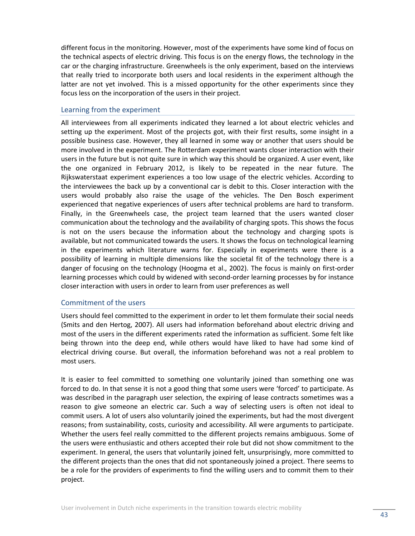different focus in the monitoring. However, most of the experiments have some kind of focus on the technical aspects of electric driving. This focus is on the energy flows, the technology in the car or the charging infrastructure. Greenwheels is the only experiment, based on the interviews that really tried to incorporate both users and local residents in the experiment although the latter are not yet involved. This is a missed opportunity for the other experiments since they focus less on the incorporation of the users in their project.

# <span id="page-42-0"></span>Learning from the experiment

All interviewees from all experiments indicated they learned a lot about electric vehicles and setting up the experiment. Most of the projects got, with their first results, some insight in a possible business case. However, they all learned in some way or another that users should be more involved in the experiment. The Rotterdam experiment wants closer interaction with their users in the future but is not quite sure in which way this should be organized. A user event, like the one organized in February 2012, is likely to be repeated in the near future. The Rijkswaterstaat experiment experiences a too low usage of the electric vehicles. According to the interviewees the back up by a conventional car is debit to this. Closer interaction with the users would probably also raise the usage of the vehicles. The Den Bosch experiment experienced that negative experiences of users after technical problems are hard to transform. Finally, in the Greenwheels case, the project team learned that the users wanted closer communication about the technology and the availability of charging spots. This shows the focus is not on the users because the information about the technology and charging spots is available, but not communicated towards the users. It shows the focus on technological learning in the experiments which literature warns for. Especially in experiments were there is a possibility of learning in multiple dimensions like the societal fit of the technology there is a danger of focusing on the technology (Hoogma et al., 2002). The focus is mainly on first-order learning processes which could by widened with second-order learning processes by for instance closer interaction with users in order to learn from user preferences as well

# <span id="page-42-1"></span>Commitment of the users

Users should feel committed to the experiment in order to let them formulate their social needs (Smits and den Hertog, 2007). All users had information beforehand about electric driving and most of the users in the different experiments rated the information as sufficient. Some felt like being thrown into the deep end, while others would have liked to have had some kind of electrical driving course. But overall, the information beforehand was not a real problem to most users.

It is easier to feel committed to something one voluntarily joined than something one was forced to do. In that sense it is not a good thing that some users were 'forced' to participate. As was described in the paragraph user selection, the expiring of lease contracts sometimes was a reason to give someone an electric car. Such a way of selecting users is often not ideal to commit users. A lot of users also voluntarily joined the experiments, but had the most divergent reasons; from sustainability, costs, curiosity and accessibility. All were arguments to participate. Whether the users feel really committed to the different projects remains ambiguous. Some of the users were enthusiastic and others accepted their role but did not show commitment to the experiment. In general, the users that voluntarily joined felt, unsurprisingly, more committed to the different projects than the ones that did not spontaneously joined a project. There seems to be a role for the providers of experiments to find the willing users and to commit them to their project.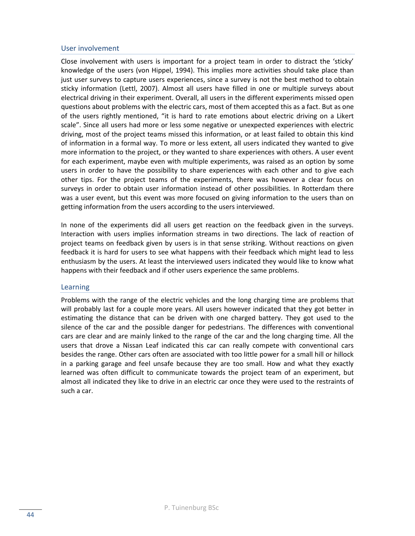# <span id="page-43-0"></span>User involvement

Close involvement with users is important for a project team in order to distract the 'sticky' knowledge of the users (von Hippel, 1994). This implies more activities should take place than just user surveys to capture users experiences, since a survey is not the best method to obtain sticky information (Lettl, 2007). Almost all users have filled in one or multiple surveys about electrical driving in their experiment. Overall, all users in the different experiments missed open questions about problems with the electric cars, most of them accepted this as a fact. But as one of the users rightly mentioned, "it is hard to rate emotions about electric driving on a Likert scale". Since all users had more or less some negative or unexpected experiences with electric driving, most of the project teams missed this information, or at least failed to obtain this kind of information in a formal way. To more or less extent, all users indicated they wanted to give more information to the project, or they wanted to share experiences with others. A user event for each experiment, maybe even with multiple experiments, was raised as an option by some users in order to have the possibility to share experiences with each other and to give each other tips. For the project teams of the experiments, there was however a clear focus on surveys in order to obtain user information instead of other possibilities. In Rotterdam there was a user event, but this event was more focused on giving information to the users than on getting information from the users according to the users interviewed.

In none of the experiments did all users get reaction on the feedback given in the surveys. Interaction with users implies information streams in two directions. The lack of reaction of project teams on feedback given by users is in that sense striking. Without reactions on given feedback it is hard for users to see what happens with their feedback which might lead to less enthusiasm by the users. At least the interviewed users indicated they would like to know what happens with their feedback and if other users experience the same problems.

#### <span id="page-43-1"></span>Learning

Problems with the range of the electric vehicles and the long charging time are problems that will probably last for a couple more years. All users however indicated that they got better in estimating the distance that can be driven with one charged battery. They got used to the silence of the car and the possible danger for pedestrians. The differences with conventional cars are clear and are mainly linked to the range of the car and the long charging time. All the users that drove a Nissan Leaf indicated this car can really compete with conventional cars besides the range. Other cars often are associated with too little power for a small hill or hillock in a parking garage and feel unsafe because they are too small. How and what they exactly learned was often difficult to communicate towards the project team of an experiment, but almost all indicated they like to drive in an electric car once they were used to the restraints of such a car.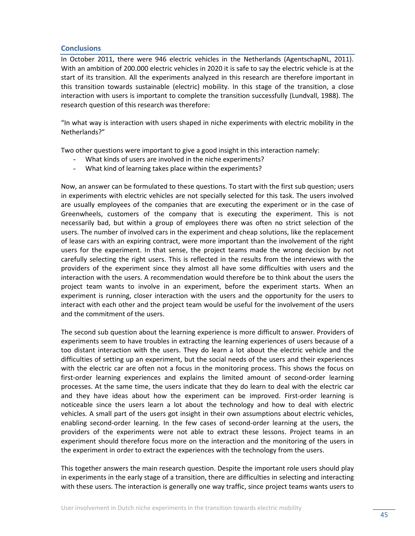# <span id="page-44-0"></span>**Conclusions**

In October 2011, there were 946 electric vehicles in the Netherlands (AgentschapNL, 2011). With an ambition of 200.000 electric vehicles in 2020 it is safe to say the electric vehicle is at the start of its transition. All the experiments analyzed in this research are therefore important in this transition towards sustainable (electric) mobility. In this stage of the transition, a close interaction with users is important to complete the transition successfully (Lundvall, 1988). The research question of this research was therefore:

"In what way is interaction with users shaped in niche experiments with electric mobility in the Netherlands?"

Two other questions were important to give a good insight in this interaction namely:

- What kinds of users are involved in the niche experiments?
- What kind of learning takes place within the experiments?

Now, an answer can be formulated to these questions. To start with the first sub question; users in experiments with electric vehicles are not specially selected for this task. The users involved are usually employees of the companies that are executing the experiment or in the case of Greenwheels, customers of the company that is executing the experiment. This is not necessarily bad, but within a group of employees there was often no strict selection of the users. The number of involved cars in the experiment and cheap solutions, like the replacement of lease cars with an expiring contract, were more important than the involvement of the right users for the experiment. In that sense, the project teams made the wrong decision by not carefully selecting the right users. This is reflected in the results from the interviews with the providers of the experiment since they almost all have some difficulties with users and the interaction with the users. A recommendation would therefore be to think about the users the project team wants to involve in an experiment, before the experiment starts. When an experiment is running, closer interaction with the users and the opportunity for the users to interact with each other and the project team would be useful for the involvement of the users and the commitment of the users.

The second sub question about the learning experience is more difficult to answer. Providers of experiments seem to have troubles in extracting the learning experiences of users because of a too distant interaction with the users. They do learn a lot about the electric vehicle and the difficulties of setting up an experiment, but the social needs of the users and their experiences with the electric car are often not a focus in the monitoring process. This shows the focus on first-order learning experiences and explains the limited amount of second-order learning processes. At the same time, the users indicate that they do learn to deal with the electric car and they have ideas about how the experiment can be improved. First-order learning is noticeable since the users learn a lot about the technology and how to deal with electric vehicles. A small part of the users got insight in their own assumptions about electric vehicles, enabling second-order learning. In the few cases of second-order learning at the users, the providers of the experiments were not able to extract these lessons. Project teams in an experiment should therefore focus more on the interaction and the monitoring of the users in the experiment in order to extract the experiences with the technology from the users.

This together answers the main research question. Despite the important role users should play in experiments in the early stage of a transition, there are difficulties in selecting and interacting with these users. The interaction is generally one way traffic, since project teams wants users to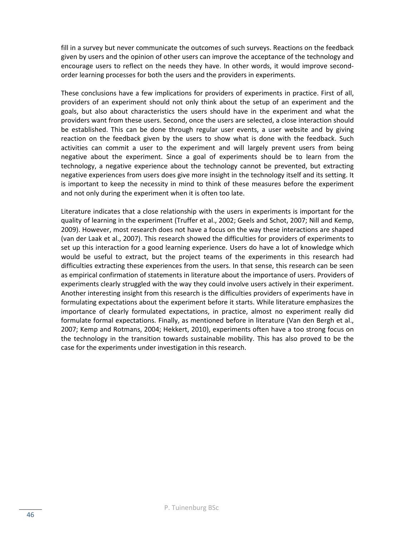fill in a survey but never communicate the outcomes of such surveys. Reactions on the feedback given by users and the opinion of other users can improve the acceptance of the technology and encourage users to reflect on the needs they have. In other words, it would improve secondorder learning processes for both the users and the providers in experiments.

These conclusions have a few implications for providers of experiments in practice. First of all, providers of an experiment should not only think about the setup of an experiment and the goals, but also about characteristics the users should have in the experiment and what the providers want from these users. Second, once the users are selected, a close interaction should be established. This can be done through regular user events, a user website and by giving reaction on the feedback given by the users to show what is done with the feedback. Such activities can commit a user to the experiment and will largely prevent users from being negative about the experiment. Since a goal of experiments should be to learn from the technology, a negative experience about the technology cannot be prevented, but extracting negative experiences from users does give more insight in the technology itself and its setting. It is important to keep the necessity in mind to think of these measures before the experiment and not only during the experiment when it is often too late.

Literature indicates that a close relationship with the users in experiments is important for the quality of learning in the experiment (Truffer et al., 2002; Geels and Schot, 2007; Nill and Kemp, 2009). However, most research does not have a focus on the way these interactions are shaped (van der Laak et al., 2007). This research showed the difficulties for providers of experiments to set up this interaction for a good learning experience. Users do have a lot of knowledge which would be useful to extract, but the project teams of the experiments in this research had difficulties extracting these experiences from the users. In that sense, this research can be seen as empirical confirmation of statements in literature about the importance of users. Providers of experiments clearly struggled with the way they could involve users actively in their experiment. Another interesting insight from this research is the difficulties providers of experiments have in formulating expectations about the experiment before it starts. While literature emphasizes the importance of clearly formulated expectations, in practice, almost no experiment really did formulate formal expectations. Finally, as mentioned before in literature (Van den Bergh et al., 2007; Kemp and Rotmans, 2004; Hekkert, 2010), experiments often have a too strong focus on the technology in the transition towards sustainable mobility. This has also proved to be the case for the experiments under investigation in this research.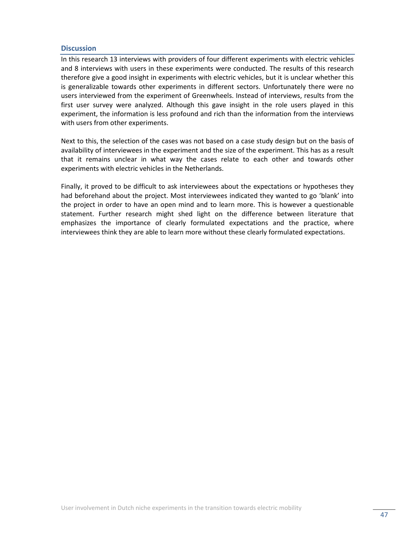## <span id="page-46-0"></span>**Discussion**

In this research 13 interviews with providers of four different experiments with electric vehicles and 8 interviews with users in these experiments were conducted. The results of this research therefore give a good insight in experiments with electric vehicles, but it is unclear whether this is generalizable towards other experiments in different sectors. Unfortunately there were no users interviewed from the experiment of Greenwheels. Instead of interviews, results from the first user survey were analyzed. Although this gave insight in the role users played in this experiment, the information is less profound and rich than the information from the interviews with users from other experiments.

Next to this, the selection of the cases was not based on a case study design but on the basis of availability of interviewees in the experiment and the size of the experiment. This has as a result that it remains unclear in what way the cases relate to each other and towards other experiments with electric vehicles in the Netherlands.

Finally, it proved to be difficult to ask interviewees about the expectations or hypotheses they had beforehand about the project. Most interviewees indicated they wanted to go 'blank' into the project in order to have an open mind and to learn more. This is however a questionable statement. Further research might shed light on the difference between literature that emphasizes the importance of clearly formulated expectations and the practice, where interviewees think they are able to learn more without these clearly formulated expectations.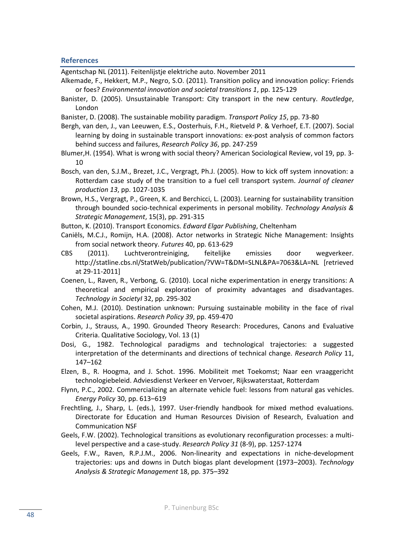#### <span id="page-47-0"></span>**References**

Agentschap NL (2011). Feitenlijstje elektriche auto. November 2011

- Alkemade, F., Hekkert, M.P., Negro, S.O. (2011). Transition policy and innovation policy: Friends or foes? *Environmental innovation and societal transitions 1*, pp. 125-129
- Banister, D. (2005). Unsustainable Transport: City transport in the new century. *Routledge*, London
- Banister, D. (2008). The sustainable mobility paradigm. *Transport Policy 15*, pp. 73-80
- Bergh, van den, J., van Leeuwen, E.S., Oosterhuis, F.H., Rietveld P. & Verhoef, E.T. (2007). Social learning by doing in sustainable transport innovations: ex-post analysis of common factors behind success and failures, *Research Policy 36*, pp. 247-259
- Blumer,H. (1954). What is wrong with social theory? American Sociological Review, vol 19, pp. 3- 10
- Bosch, van den, S.J.M., Brezet, J.C., Vergragt, Ph.J. (2005). How to kick off system innovation: a Rotterdam case study of the transition to a fuel cell transport system. *Journal of cleaner production 13*, pp. 1027-1035
- Brown, H.S., Vergragt, P., Green, K. and Berchicci, L. (2003). Learning for sustainability transition through bounded socio-technical experiments in personal mobility. *Technology Analysis & Strategic Management*, 15(3), pp. 291-315

Button, K. (2010). Transport Economics. *Edward Elgar Publishing*, Cheltenham

- Caniëls, M.C.J., Romijn, H.A. (2008). Actor networks in Strategic Niche Management: Insights from social network theory. *Futures* 40, pp. 613-629
- CBS (2011). Luchtverontreiniging, feitelijke emissies door wegverkeer. http://statline.cbs.nl/StatWeb/publication/?VW=T&DM=SLNL&PA=7063&LA=NL [retrieved at 29-11-2011]
- Coenen, L., Raven, R., Verbong, G. (2010). Local niche experimentation in energy transitions: A theoretical and empirical exploration of proximity advantages and disadvantages. *Technology in SocietyI* 32, pp. 295-302
- Cohen, M.J. (2010). Destination unknown: Pursuing sustainable mobility in the face of rival societal aspirations. *Research Policy 39*, pp. 459-470
- Corbin, J., Strauss, A., 1990. Grounded Theory Research: Procedures, Canons and Evaluative Criteria. Qualitative Sociology, Vol. 13 (1)
- Dosi, G., 1982. Technological paradigms and technological trajectories: a suggested interpretation of the determinants and directions of technical change. *Research Policy* 11, 147–162
- Elzen, B., R. Hoogma, and J. Schot. 1996. Mobiliteit met Toekomst; Naar een vraaggericht technologiebeleid. Adviesdienst Verkeer en Vervoer, Rijkswaterstaat, Rotterdam
- Flynn, P.C., 2002. Commercializing an alternate vehicle fuel: lessons from natural gas vehicles. *Energy Policy* 30, pp. 613–619
- Frechtling, J., Sharp, L. (eds.), 1997. User-friendly handbook for mixed method evaluations. Directorate for Education and Human Resources Division of Research, Evaluation and Communication NSF
- Geels, F.W. (2002). Technological transitions as evolutionary reconfiguration processes: a multilevel perspective and a case-study. *Research Policy 31* (8-9), pp. 1257-1274
- Geels, F.W., Raven, R.P.J.M., 2006. Non-linearity and expectations in niche-development trajectories: ups and downs in Dutch biogas plant development (1973–2003). *Technology Analysis & Strategic Management* 18, pp. 375–392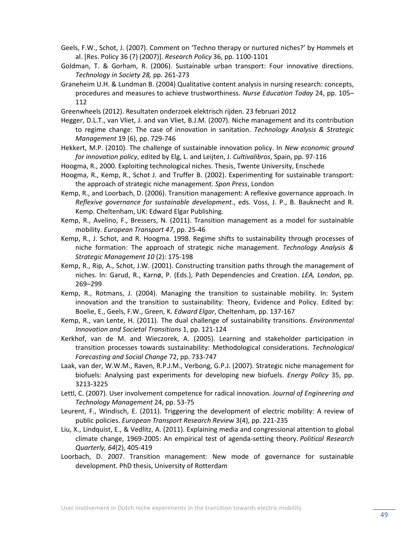- Geels, F.W., Schot, J. (2007). Comment on 'Techno therapy or nurtured niches?' by Hommels et al. [Res. Policy 36 (7) (2007)]. *Research Policy* 36, pp. 1100-1101
- Goldman, T. & Gorham, R. (2006). Sustainable urban transport: Four innovative directions. *Technology in Society 28,* pp. 261-273
- Graneheim U.H. & Lundman B. (2004) Qualitative content analysis in nursing research: concepts, procedures and measures to achieve trustworthiness. *Nurse Education Today* 24, pp. 105– 112
- Greenwheels (2012). Resultaten onderzoek elektrisch rijden. 23 februari 2012

Hegger, D.L.T., van Vliet, J. and van Vliet, B.J.M. (2007). Niche management and its contribution to regime change: The case of innovation in sanitation. *Technology Analysis & Strategic Management* 19 (6), pp. 729-746

Hekkert, M.P. (2010). The challenge of sustainable innovation policy. In *New economic ground for innovation policy*, edited by Elg, L. and Leijten, J. *Cultivalibros*, Spain, pp. 97-116

- Hoogma, R., 2000. Exploiting technological niches. Thesis, Twente University, Enschede
- Hoogma, R., Kemp, R., Schot J. and Truffer B. (2002). Experimenting for sustainable transport: the approach of strategic niche management. *Spon Press*, London

Kemp, R., and Loorbach, D. (2006). Transition management: A reflexive governance approach. In *Reflexive governance for sustainable development.*, eds. Voss, J. P., B. Bauknecht and R. Kemp. Cheltenham, UK: Edward Elgar Publishing.

Kemp, R., Avelino, F., Bressers, N. (2011). Transition management as a model for sustainable mobility. *European Transport 47*, pp. 25-46

- Kemp, R., J. Schot, and R. Hoogma. 1998. Regime shifts to sustainability through processes of niche formation: The approach of strategic niche management. *Technology Analysis & Strategic Management 10* (2): 175-198
- Kemp, R., Rip, A., Schot, J.W. (2001). Constructing transition paths through the management of niches. In: Garud, R., Karnø, P. (Eds.), Path Dependencies and Creation. *LEA, London*, pp. 269–299
- Kemp, R., Rotmans, J. (2004). Managing the transition to sustainable mobility. In: System innovation and the transition to sustainability: Theory, Evidence and Policy. Edited by: Boelie, E., Geels, F.W., Green, K. *Edward Elgar*, Cheltenham, pp. 137-167
- Kemp, R., van Lente, H. (2011). The dual challenge of sustainability transitions. *Environmental Innovation and Societal Transitions* 1, pp. 121-124
- Kerkhof, van de M. and Wieczorek, A. (2005). Learning and stakeholder participation in transition processes towards sustainability: Methodological considerations. *Technological Forecasting and Social Change* 72, pp. 733-747
- Laak, van der, W.W.M., Raven, R.P.J.M., Verbong, G.P.J. (2007). Strategic niche management for biofuels: Analysing past experiments for developing new biofuels. *Energy Policy* 35, pp. 3213-3225
- Lettl, C. (2007). User involvement competence for radical innovation. *Journal of Engineering and Technology Management* 24, pp. 53-75
- Leurent, F., Windisch, E. (2011). Triggering the development of electric mobility: A review of public policies. *European Transport Research Review* 3(4), pp. 221-235
- Liu, X., Lindquist, E., & Vedlitz, A. (2011). Explaining media and congressional attention to global climate change, 1969-2005: An empirical test of agenda-setting theory. *Political Research Quarterly, 64*(2), 405-419
- Loorbach, D. 2007. Transition management: New mode of governance for sustainable development. PhD thesis, University of Rotterdam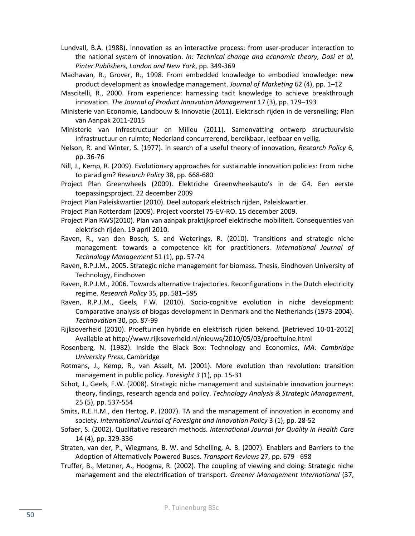- Lundvall, B.A. (1988). Innovation as an interactive process: from user-producer interaction to the national system of innovation. *In: Technical change and economic theory, Dosi et al, Pinter Publishers, London and New York*, pp. 349-369
- Madhavan, R., Grover, R., 1998. From embedded knowledge to embodied knowledge: new product development as knowledge management. *Journal of Marketing* 62 (4), pp. 1–12
- Mascitelli, R., 2000. From experience: harnessing tacit knowledge to achieve breakthrough innovation. *The Journal of Product Innovation Management* 17 (3), pp. 179–193
- Ministerie van Economie, Landbouw & Innovatie (2011). Elektrisch rijden in de versnelling; Plan van Aanpak 2011-2015
- Ministerie van Infrastructuur en Milieu (2011). Samenvatting ontwerp structuurvisie infrastructuur en ruimte; Nederland concurrerend, bereikbaar, leefbaar en veilig.
- Nelson, R. and Winter, S. (1977). In search of a useful theory of innovation, *Research Policy* 6, pp. 36-76
- Nill, J., Kemp, R. (2009). Evolutionary approaches for sustainable innovation policies: From niche to paradigm? *Research Policy* 38, pp. 668-680
- Project Plan Greenwheels (2009). Elektriche Greenwheelsauto's in de G4. Een eerste toepassingsproject. 22 december 2009
- Project Plan Paleiskwartier (2010). Deel autopark elektrisch rijden, Paleiskwartier.
- Project Plan Rotterdam (2009). Project voorstel 75-EV-RO. 15 december 2009.
- Project Plan RWS(2010). Plan van aanpak praktijkproef elektrische mobiliteit. Consequenties van elektrisch rijden. 19 april 2010.
- Raven, R., van den Bosch, S. and Weterings, R. (2010). Transitions and strategic niche management: towards a competence kit for practitioners. *International Journal of Technology Management* 51 (1), pp. 57-74
- Raven, R.P.J.M., 2005. Strategic niche management for biomass. Thesis, Eindhoven University of Technology, Eindhoven
- Raven, R.P.J.M., 2006. Towards alternative trajectories. Reconfigurations in the Dutch electricity regime. *Research Policy* 35, pp. 581–595
- Raven, R.P.J.M., Geels, F.W. (2010). Socio-cognitive evolution in niche development: Comparative analysis of biogas development in Denmark and the Netherlands (1973-2004). *Technovation* 30, pp. 87-99
- Rijksoverheid (2010). Proeftuinen hybride en elektrisch rijden bekend. [Retrieved 10-01-2012] Available at http://www.rijksoverheid.nl/nieuws/2010/05/03/proeftuine.html
- Rosenberg, N. (1982). Inside the Black Box: Technology and Economics, *MA: Cambridge University Press*, Cambridge
- Rotmans, J., Kemp, R., van Asselt, M. (2001). More evolution than revolution: transition management in public policy. *Foresight 3* (1), pp. 15-31
- Schot, J., Geels, F.W. (2008). Strategic niche management and sustainable innovation journeys: theory, findings, research agenda and policy. *Technology Analysis & Strategic Management*, 25 (5), pp. 537-554
- Smits, R.E.H.M., den Hertog, P. (2007). TA and the management of innovation in economy and society. *International Journal of Foresight and Innovation Policy* 3 (1), pp. 28-52
- Sofaer, S. (2002). Qualitative research methods. *International Journal for Quality in Health Care* 14 (4), pp. 329-336
- Straten, van der, P., Wiegmans, B. W. and Schelling, A. B. (2007). Enablers and Barriers to the Adoption of Alternatively Powered Buses. *Transport Reviews* 27, pp. 679 - 698
- Truffer, B., Metzner, A., Hoogma, R. (2002). The coupling of viewing and doing: Strategic niche management and the electrification of transport. *Greener Management International* (37,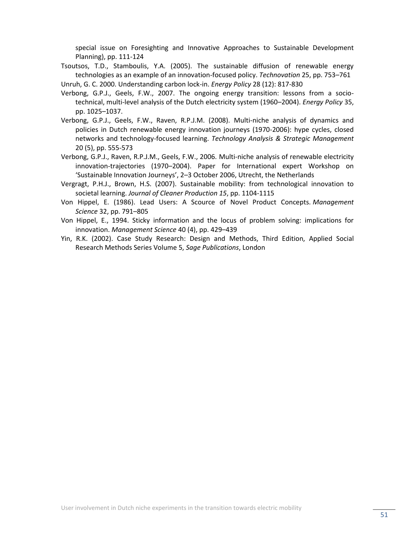special issue on Foresighting and Innovative Approaches to Sustainable Development Planning), pp. 111-124

- Tsoutsos, T.D., Stamboulis, Y.A. (2005). The sustainable diffusion of renewable energy technologies as an example of an innovation-focused policy. *Technovation* 25, pp. 753–761 Unruh, G. C. 2000. Understanding carbon lock-in. *Energy Policy* 28 (12): 817-830
- Verbong, G.P.J., Geels, F.W., 2007. The ongoing energy transition: lessons from a sociotechnical, multi-level analysis of the Dutch electricity system (1960–2004). *Energy Policy* 35, pp. 1025–1037.
- Verbong, G.P.J., Geels, F.W., Raven, R.P.J.M. (2008). Multi-niche analysis of dynamics and policies in Dutch renewable energy innovation journeys (1970-2006): hype cycles, closed networks and technology-focused learning. *Technology Analysis & Strategic Management* 20 (5), pp. 555-573
- Verbong, G.P.J., Raven, R.P.J.M., Geels, F.W., 2006. Multi-niche analysis of renewable electricity innovation-trajectories (1970–2004). Paper for International expert Workshop on 'Sustainable Innovation Journeys', 2–3 October 2006, Utrecht, the Netherlands
- Vergragt, P.H.J., Brown, H.S. (2007). Sustainable mobility: from technological innovation to societal learning. *Journal of Cleaner Production 15*, pp. 1104-1115
- Von Hippel, E. (1986). Lead Users: A Scource of Novel Product Concepts. *Management Science* 32, pp. 791–805
- Von Hippel, E., 1994. Sticky information and the locus of problem solving: implications for innovation. *Management Science* 40 (4), pp. 429–439
- Yin, R.K. (2002). Case Study Research: Design and Methods, Third Edition, Applied Social Research Methods Series Volume 5, *Sage Publications*, London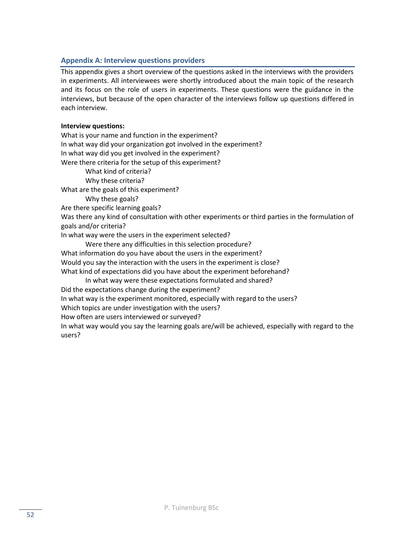# <span id="page-51-0"></span>**Appendix A: Interview questions providers**

This appendix gives a short overview of the questions asked in the interviews with the providers in experiments. All interviewees were shortly introduced about the main topic of the research and its focus on the role of users in experiments. These questions were the guidance in the interviews, but because of the open character of the interviews follow up questions differed in each interview.

# **Interview questions:**

What is your name and function in the experiment? In what way did your organization got involved in the experiment? In what way did you get involved in the experiment? Were there criteria for the setup of this experiment? What kind of criteria? Why these criteria? What are the goals of this experiment? Why these goals? Are there specific learning goals? Was there any kind of consultation with other experiments or third parties in the formulation of goals and/or criteria? In what way were the users in the experiment selected? Were there any difficulties in this selection procedure? What information do you have about the users in the experiment? Would you say the interaction with the users in the experiment is close? What kind of expectations did you have about the experiment beforehand? In what way were these expectations formulated and shared? Did the expectations change during the experiment? In what way is the experiment monitored, especially with regard to the users? Which topics are under investigation with the users? How often are users interviewed or surveyed? In what way would you say the learning goals are/will be achieved, especially with regard to the users?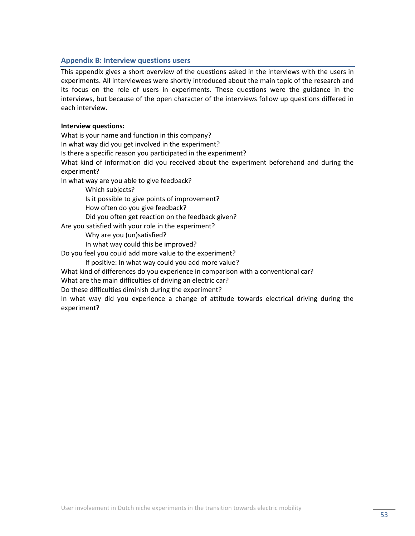# <span id="page-52-0"></span>**Appendix B: Interview questions users**

This appendix gives a short overview of the questions asked in the interviews with the users in experiments. All interviewees were shortly introduced about the main topic of the research and its focus on the role of users in experiments. These questions were the guidance in the interviews, but because of the open character of the interviews follow up questions differed in each interview.

# **Interview questions:**

What is your name and function in this company? In what way did you get involved in the experiment? Is there a specific reason you participated in the experiment? What kind of information did you received about the experiment beforehand and during the experiment? In what way are you able to give feedback? Which subjects? Is it possible to give points of improvement? How often do you give feedback? Did you often get reaction on the feedback given? Are you satisfied with your role in the experiment? Why are you (un)satisfied? In what way could this be improved?

Do you feel you could add more value to the experiment?

If positive: In what way could you add more value?

What kind of differences do you experience in comparison with a conventional car?

What are the main difficulties of driving an electric car?

Do these difficulties diminish during the experiment?

In what way did you experience a change of attitude towards electrical driving during the experiment?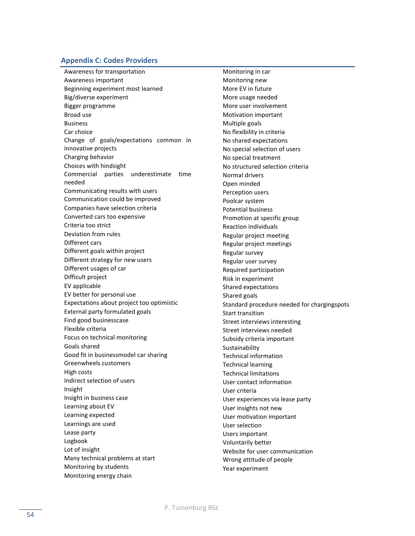#### <span id="page-53-0"></span>**Appendix C: Codes Providers**

Awareness for transportation Awareness important Beginning experiment most learned Big/diverse experiment Bigger programme Broad use Business Car choice Change of goals/expectations common in innovative projects Charging behavior Choices with hindsight Commercial parties underestimate time needed Communicating results with users Communication could be improved Companies have selection criteria Converted cars too expensive Criteria too strict Deviation from rules Different cars Different goals within project Different strategy for new users Different usages of car Difficult project EV applicable EV better for personal use Expectations about project too optimistic External party formulated goals Find good businesscase Flexible criteria Focus on technical monitoring Goals shared Good fit in businessmodel car sharing Greenwheels customers High costs Indirect selection of users Insight Insight in business case Learning about EV Learning expected Learnings are used Lease party Logbook Lot of insight Many technical problems at start Monitoring by students Monitoring energy chain

Monitoring in car Monitoring new More EV in future More usage needed More user involvement Motivation important Multiple goals No flexibility in criteria No shared expectations No special selection of users No special treatment No structured selection criteria Normal drivers Open minded Perception users Poolcar system Potential business Promotion at specific group Reaction individuals Regular project meeting Regular project meetings Regular survey Regular user survey Required participation Risk in experiment Shared expectations Shared goals Standard procedure needed for chargingspots Start transition Street interviews interesting Street interviews needed Subsidy criteria important Sustainability Technical information Technical learning Technical limitations User contact information User criteria User experiences via lease party User insights not new User motivation important User selection Users important Voluntarily better Website for user communication Wrong attitude of people Year experiment